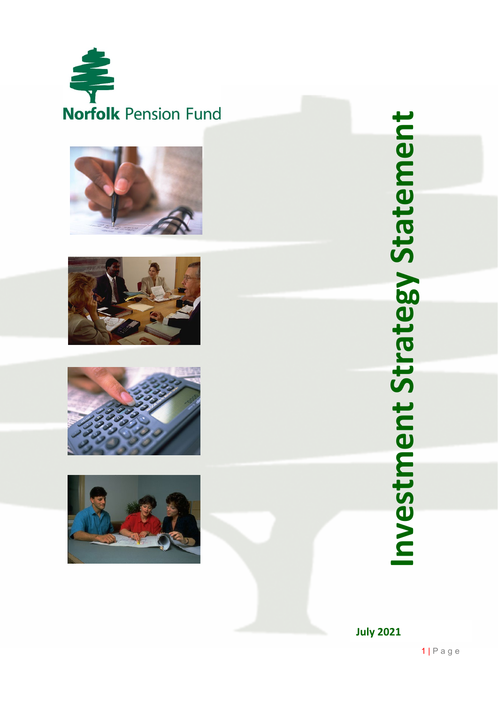









Investment Strategy Statement **Investment Strategy Statement**

**July 2021**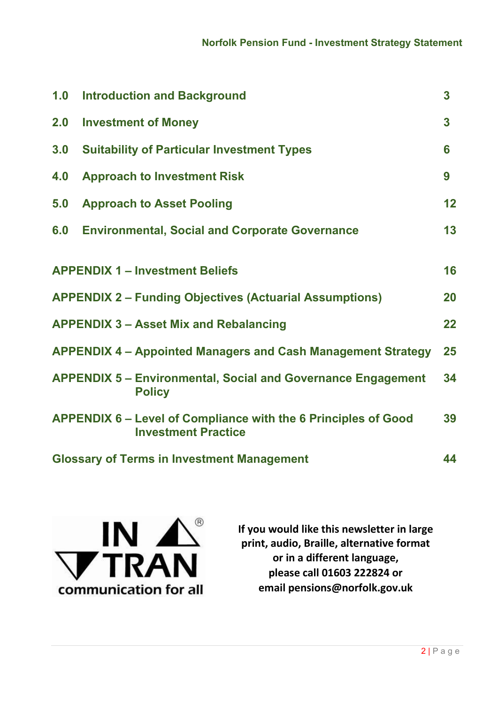| 1.0                                                                       | <b>Introduction and Background</b>                                                                  | 3                       |  |  |
|---------------------------------------------------------------------------|-----------------------------------------------------------------------------------------------------|-------------------------|--|--|
| 2.0                                                                       | <b>Investment of Money</b>                                                                          | $\overline{\mathbf{3}}$ |  |  |
| 3.0                                                                       | <b>Suitability of Particular Investment Types</b>                                                   | 6                       |  |  |
| 4.0                                                                       | <b>Approach to Investment Risk</b>                                                                  | 9                       |  |  |
| 5.0                                                                       | <b>Approach to Asset Pooling</b>                                                                    | 12                      |  |  |
| 6.0                                                                       | <b>Environmental, Social and Corporate Governance</b>                                               | 13                      |  |  |
|                                                                           |                                                                                                     |                         |  |  |
|                                                                           | <b>APPENDIX 1 - Investment Beliefs</b>                                                              | 16                      |  |  |
|                                                                           | <b>APPENDIX 2 – Funding Objectives (Actuarial Assumptions)</b>                                      | 20                      |  |  |
|                                                                           | <b>APPENDIX 3 - Asset Mix and Rebalancing</b>                                                       | 22                      |  |  |
| <b>APPENDIX 4 – Appointed Managers and Cash Management Strategy</b><br>25 |                                                                                                     |                         |  |  |
|                                                                           | <b>APPENDIX 5 – Environmental, Social and Governance Engagement</b><br><b>Policy</b>                | 34                      |  |  |
|                                                                           | <b>APPENDIX 6 – Level of Compliance with the 6 Principles of Good</b><br><b>Investment Practice</b> | 39                      |  |  |
| <b>Glossary of Terms in Investment Management</b><br>44                   |                                                                                                     |                         |  |  |



**If you would like this newsletter in large print, audio, Braille, alternative format or in a different language, please call 01603 222824 or email pensions@norfolk.gov.uk**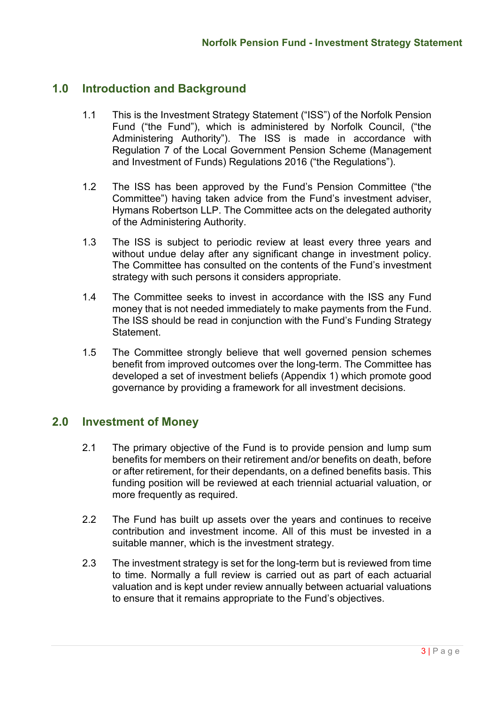# **1.0 Introduction and Background**

- 1.1 This is the Investment Strategy Statement ("ISS") of the Norfolk Pension Fund ("the Fund"), which is administered by Norfolk Council, ("the Administering Authority"). The ISS is made in accordance with Regulation 7 of the Local Government Pension Scheme (Management and Investment of Funds) Regulations 2016 ("the Regulations").
- 1.2 The ISS has been approved by the Fund's Pension Committee ("the Committee") having taken advice from the Fund's investment adviser, Hymans Robertson LLP. The Committee acts on the delegated authority of the Administering Authority.
- 1.3 The ISS is subject to periodic review at least every three years and without undue delay after any significant change in investment policy. The Committee has consulted on the contents of the Fund's investment strategy with such persons it considers appropriate.
- 1.4 The Committee seeks to invest in accordance with the ISS any Fund money that is not needed immediately to make payments from the Fund. The ISS should be read in conjunction with the Fund's Funding Strategy Statement.
- 1.5 The Committee strongly believe that well governed pension schemes benefit from improved outcomes over the long-term. The Committee has developed a set of investment beliefs (Appendix 1) which promote good governance by providing a framework for all investment decisions.

# **2.0 Investment of Money**

- 2.1 The primary objective of the Fund is to provide pension and lump sum benefits for members on their retirement and/or benefits on death, before or after retirement, for their dependants, on a defined benefits basis. This funding position will be reviewed at each triennial actuarial valuation, or more frequently as required.
- 2.2 The Fund has built up assets over the years and continues to receive contribution and investment income. All of this must be invested in a suitable manner, which is the investment strategy.
- 2.3 The investment strategy is set for the long-term but is reviewed from time to time. Normally a full review is carried out as part of each actuarial valuation and is kept under review annually between actuarial valuations to ensure that it remains appropriate to the Fund's objectives.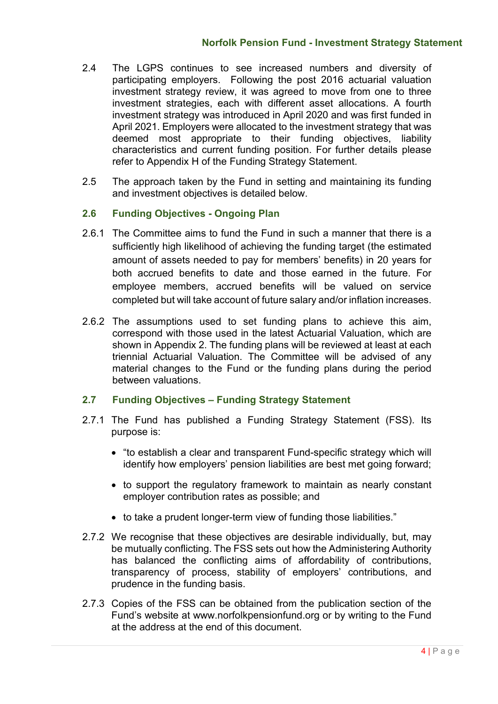- 2.4 The LGPS continues to see increased numbers and diversity of participating employers. Following the post 2016 actuarial valuation investment strategy review, it was agreed to move from one to three investment strategies, each with different asset allocations. A fourth investment strategy was introduced in April 2020 and was first funded in April 2021. Employers were allocated to the investment strategy that was deemed most appropriate to their funding objectives, liability characteristics and current funding position. For further details please refer to Appendix H of the Funding Strategy Statement.
- 2.5 The approach taken by the Fund in setting and maintaining its funding and investment objectives is detailed below.

# **2.6 Funding Objectives - Ongoing Plan**

- 2.6.1 The Committee aims to fund the Fund in such a manner that there is a sufficiently high likelihood of achieving the funding target (the estimated amount of assets needed to pay for members' benefits) in 20 years for both accrued benefits to date and those earned in the future. For employee members, accrued benefits will be valued on service completed but will take account of future salary and/or inflation increases.
- 2.6.2 The assumptions used to set funding plans to achieve this aim, correspond with those used in the latest Actuarial Valuation, which are shown in Appendix 2. The funding plans will be reviewed at least at each triennial Actuarial Valuation. The Committee will be advised of any material changes to the Fund or the funding plans during the period between valuations.

# **2.7 Funding Objectives – Funding Strategy Statement**

- 2.7.1 The Fund has published a Funding Strategy Statement (FSS). Its purpose is:
	- "to establish a clear and transparent Fund-specific strategy which will identify how employers' pension liabilities are best met going forward;
	- to support the regulatory framework to maintain as nearly constant employer contribution rates as possible; and
	- to take a prudent longer-term view of funding those liabilities."
- 2.7.2 We recognise that these objectives are desirable individually, but, may be mutually conflicting. The FSS sets out how the Administering Authority has balanced the conflicting aims of affordability of contributions, transparency of process, stability of employers' contributions, and prudence in the funding basis.
- 2.7.3 Copies of the FSS can be obtained from the publication section of the Fund's website at www.norfolkpensionfund.org or by writing to the Fund at the address at the end of this document.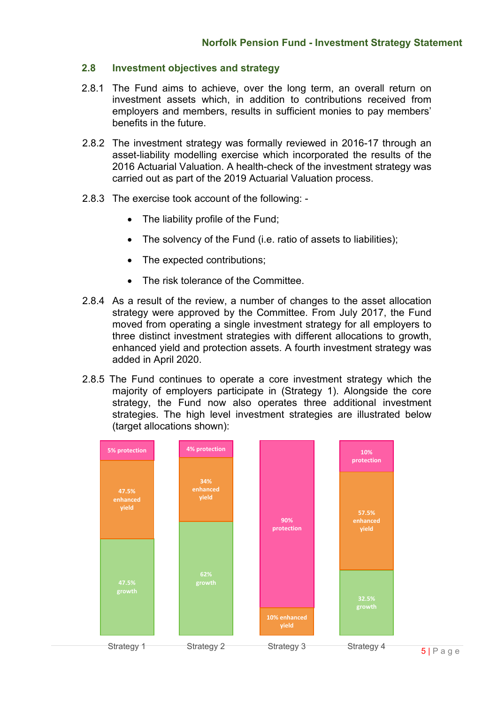### **2.8 Investment objectives and strategy**

- 2.8.1 The Fund aims to achieve, over the long term, an overall return on investment assets which, in addition to contributions received from employers and members, results in sufficient monies to pay members' benefits in the future.
- 2.8.2 The investment strategy was formally reviewed in 2016-17 through an asset-liability modelling exercise which incorporated the results of the 2016 Actuarial Valuation. A health-check of the investment strategy was carried out as part of the 2019 Actuarial Valuation process.
- 2.8.3 The exercise took account of the following:
	- The liability profile of the Fund;
	- The solvency of the Fund (i.e. ratio of assets to liabilities);
	- The expected contributions;
	- The risk tolerance of the Committee
- 2.8.4 As a result of the review, a number of changes to the asset allocation strategy were approved by the Committee. From July 2017, the Fund moved from operating a single investment strategy for all employers to three distinct investment strategies with different allocations to growth, enhanced yield and protection assets. A fourth investment strategy was added in April 2020.
- 2.8.5 The Fund continues to operate a core investment strategy which the majority of employers participate in (Strategy 1). Alongside the core strategy, the Fund now also operates three additional investment strategies. The high level investment strategies are illustrated below (target allocations shown):

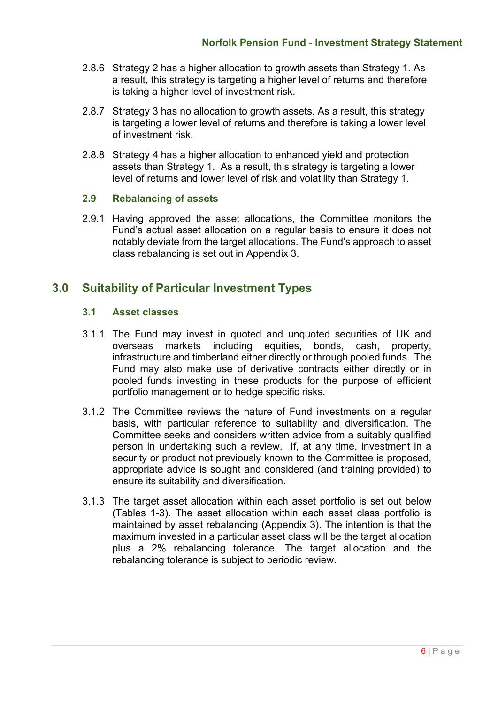- 2.8.6 Strategy 2 has a higher allocation to growth assets than Strategy 1. As a result, this strategy is targeting a higher level of returns and therefore is taking a higher level of investment risk.
- 2.8.7 Strategy 3 has no allocation to growth assets. As a result, this strategy is targeting a lower level of returns and therefore is taking a lower level of investment risk.
- 2.8.8 Strategy 4 has a higher allocation to enhanced yield and protection assets than Strategy 1. As a result, this strategy is targeting a lower level of returns and lower level of risk and volatility than Strategy 1.

### **2.9 Rebalancing of assets**

2.9.1 Having approved the asset allocations, the Committee monitors the Fund's actual asset allocation on a regular basis to ensure it does not notably deviate from the target allocations. The Fund's approach to asset class rebalancing is set out in Appendix 3.

# **3.0 Suitability of Particular Investment Types**

### **3.1 Asset classes**

- 3.1.1 The Fund may invest in quoted and unquoted securities of UK and overseas markets including equities, bonds, cash, property, infrastructure and timberland either directly or through pooled funds. The Fund may also make use of derivative contracts either directly or in pooled funds investing in these products for the purpose of efficient portfolio management or to hedge specific risks.
- 3.1.2 The Committee reviews the nature of Fund investments on a regular basis, with particular reference to suitability and diversification. The Committee seeks and considers written advice from a suitably qualified person in undertaking such a review. If, at any time, investment in a security or product not previously known to the Committee is proposed, appropriate advice is sought and considered (and training provided) to ensure its suitability and diversification.
- 3.1.3 The target asset allocation within each asset portfolio is set out below (Tables 1-3). The asset allocation within each asset class portfolio is maintained by asset rebalancing (Appendix 3). The intention is that the maximum invested in a particular asset class will be the target allocation plus a 2% rebalancing tolerance. The target allocation and the rebalancing tolerance is subject to periodic review.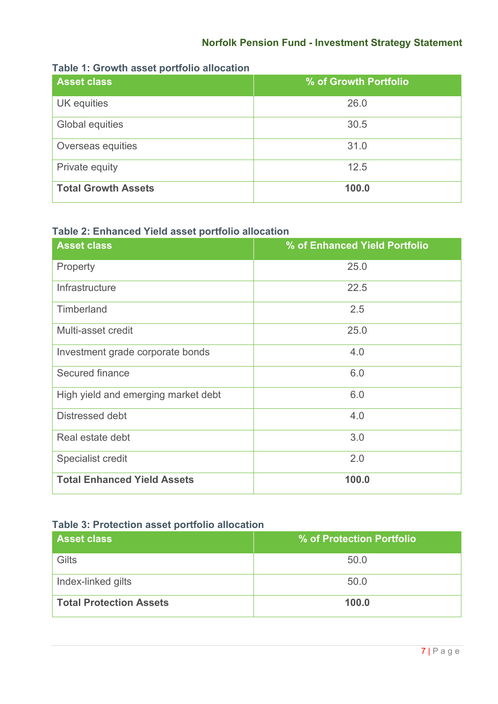# **Norfolk Pension Fund - Investment Strategy Statement**

| <b>Asset class</b>         | % of Growth Portfolio |
|----------------------------|-----------------------|
| UK equities                | 26.0                  |
| Global equities            | 30.5                  |
| Overseas equities          | 31.0                  |
| Private equity             | 12.5                  |
| <b>Total Growth Assets</b> | 100.0                 |

# **Table 1: Growth asset portfolio allocation**

# **Table 2: Enhanced Yield asset portfolio allocation**

| <b>Asset class</b>                  | % of Enhanced Yield Portfolio |
|-------------------------------------|-------------------------------|
| Property                            | 25.0                          |
| Infrastructure                      | 22.5                          |
| Timberland                          | 2.5                           |
| Multi-asset credit                  | 25.0                          |
| Investment grade corporate bonds    | 4.0                           |
| Secured finance                     | 6.0                           |
| High yield and emerging market debt | 6.0                           |
| Distressed debt                     | 4.0                           |
| Real estate debt                    | 3.0                           |
| Specialist credit                   | 2.0                           |
| <b>Total Enhanced Yield Assets</b>  | 100.0                         |

### **Table 3: Protection asset portfolio allocation**

| <b>Asset class</b>             | % of Protection Portfolio |
|--------------------------------|---------------------------|
| Gilts                          | 50.0                      |
| Index-linked gilts             | 50.0                      |
| <b>Total Protection Assets</b> | 100.0                     |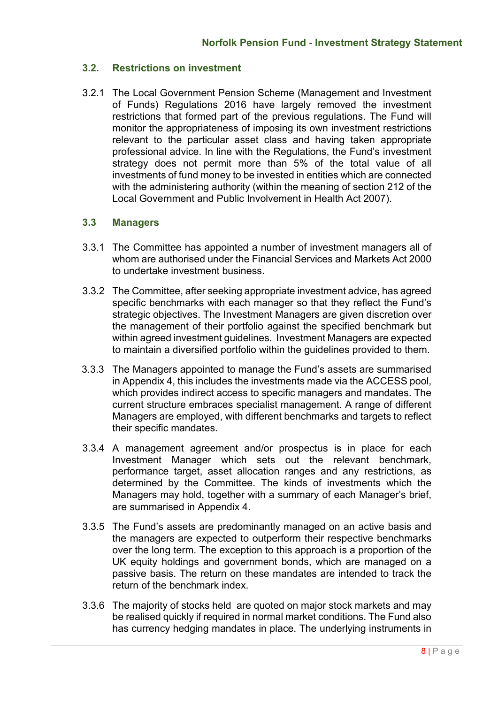### **3.2. Restrictions on investment**

3.2.1 The Local Government Pension Scheme (Management and Investment of Funds) Regulations 2016 have largely removed the investment restrictions that formed part of the previous regulations. The Fund will monitor the appropriateness of imposing its own investment restrictions relevant to the particular asset class and having taken appropriate professional advice. In line with the Regulations, the Fund's investment strategy does not permit more than 5% of the total value of all investments of fund money to be invested in entities which are connected with the administering authority (within the meaning of section 212 of the Local Government and Public Involvement in Health Act 2007).

### **3.3 Managers**

- 3.3.1 The Committee has appointed a number of investment managers all of whom are authorised under the Financial Services and Markets Act 2000 to undertake investment business.
- 3.3.2 The Committee, after seeking appropriate investment advice, has agreed specific benchmarks with each manager so that they reflect the Fund's strategic objectives. The Investment Managers are given discretion over the management of their portfolio against the specified benchmark but within agreed investment guidelines. Investment Managers are expected to maintain a diversified portfolio within the guidelines provided to them.
- 3.3.3 The Managers appointed to manage the Fund's assets are summarised in Appendix 4, this includes the investments made via the ACCESS pool, which provides indirect access to specific managers and mandates. The current structure embraces specialist management. A range of different Managers are employed, with different benchmarks and targets to reflect their specific mandates.
- 3.3.4 A management agreement and/or prospectus is in place for each Investment Manager which sets out the relevant benchmark, performance target, asset allocation ranges and any restrictions, as determined by the Committee. The kinds of investments which the Managers may hold, together with a summary of each Manager's brief, are summarised in Appendix 4.
- 3.3.5 The Fund's assets are predominantly managed on an active basis and the managers are expected to outperform their respective benchmarks over the long term. The exception to this approach is a proportion of the UK equity holdings and government bonds, which are managed on a passive basis. The return on these mandates are intended to track the return of the benchmark index.
- 3.3.6 The majority of stocks held are quoted on major stock markets and may be realised quickly if required in normal market conditions. The Fund also has currency hedging mandates in place. The underlying instruments in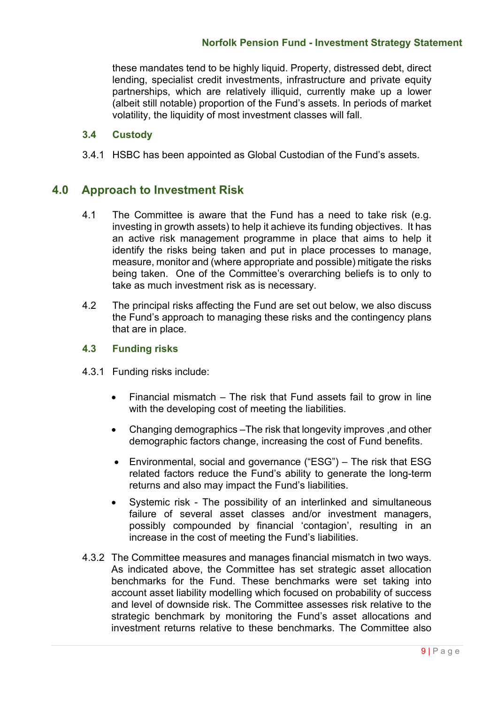these mandates tend to be highly liquid. Property, distressed debt, direct lending, specialist credit investments, infrastructure and private equity partnerships, which are relatively illiquid, currently make up a lower (albeit still notable) proportion of the Fund's assets. In periods of market volatility, the liquidity of most investment classes will fall.

### **3.4 Custody**

3.4.1 HSBC has been appointed as Global Custodian of the Fund's assets.

# **4.0 Approach to Investment Risk**

- 4.1 The Committee is aware that the Fund has a need to take risk (e.g. investing in growth assets) to help it achieve its funding objectives. It has an active risk management programme in place that aims to help it identify the risks being taken and put in place processes to manage, measure, monitor and (where appropriate and possible) mitigate the risks being taken. One of the Committee's overarching beliefs is to only to take as much investment risk as is necessary.
- 4.2 The principal risks affecting the Fund are set out below, we also discuss the Fund's approach to managing these risks and the contingency plans that are in place.

### **4.3 Funding risks**

- 4.3.1 Funding risks include:
	- Financial mismatch  $-$  The risk that Fund assets fail to grow in line with the developing cost of meeting the liabilities.
	- Changing demographics –The risk that longevity improves ,and other demographic factors change, increasing the cost of Fund benefits.
	- Environmental, social and governance ("ESG") The risk that ESG related factors reduce the Fund's ability to generate the long-term returns and also may impact the Fund's liabilities.
	- Systemic risk The possibility of an interlinked and simultaneous failure of several asset classes and/or investment managers, possibly compounded by financial 'contagion', resulting in an increase in the cost of meeting the Fund's liabilities.
- 4.3.2 The Committee measures and manages financial mismatch in two ways. As indicated above, the Committee has set strategic asset allocation benchmarks for the Fund. These benchmarks were set taking into account asset liability modelling which focused on probability of success and level of downside risk. The Committee assesses risk relative to the strategic benchmark by monitoring the Fund's asset allocations and investment returns relative to these benchmarks. The Committee also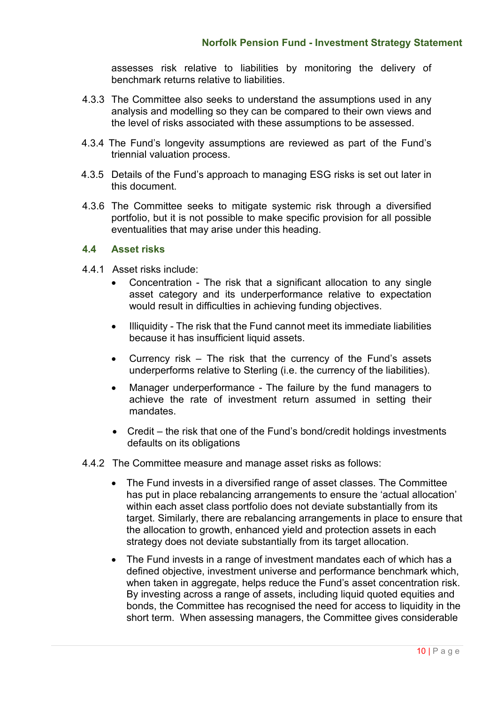assesses risk relative to liabilities by monitoring the delivery of benchmark returns relative to liabilities.

- 4.3.3 The Committee also seeks to understand the assumptions used in any analysis and modelling so they can be compared to their own views and the level of risks associated with these assumptions to be assessed.
- 4.3.4 The Fund's longevity assumptions are reviewed as part of the Fund's triennial valuation process.
- 4.3.5 Details of the Fund's approach to managing ESG risks is set out later in this document.
- 4.3.6 The Committee seeks to mitigate systemic risk through a diversified portfolio, but it is not possible to make specific provision for all possible eventualities that may arise under this heading.

### **4.4 Asset risks**

- 4.4.1 Asset risks include:
	- Concentration The risk that a significant allocation to any single asset category and its underperformance relative to expectation would result in difficulties in achieving funding objectives.
	- Illiquidity The risk that the Fund cannot meet its immediate liabilities because it has insufficient liquid assets.
	- Currency risk  $-$  The risk that the currency of the Fund's assets underperforms relative to Sterling (i.e. the currency of the liabilities).
	- Manager underperformance The failure by the fund managers to achieve the rate of investment return assumed in setting their mandates.
	- Credit the risk that one of the Fund's bond/credit holdings investments defaults on its obligations
- 4.4.2 The Committee measure and manage asset risks as follows:
	- The Fund invests in a diversified range of asset classes. The Committee has put in place rebalancing arrangements to ensure the 'actual allocation' within each asset class portfolio does not deviate substantially from its target. Similarly, there are rebalancing arrangements in place to ensure that the allocation to growth, enhanced yield and protection assets in each strategy does not deviate substantially from its target allocation.
	- The Fund invests in a range of investment mandates each of which has a defined objective, investment universe and performance benchmark which, when taken in aggregate, helps reduce the Fund's asset concentration risk. By investing across a range of assets, including liquid quoted equities and bonds, the Committee has recognised the need for access to liquidity in the short term. When assessing managers, the Committee gives considerable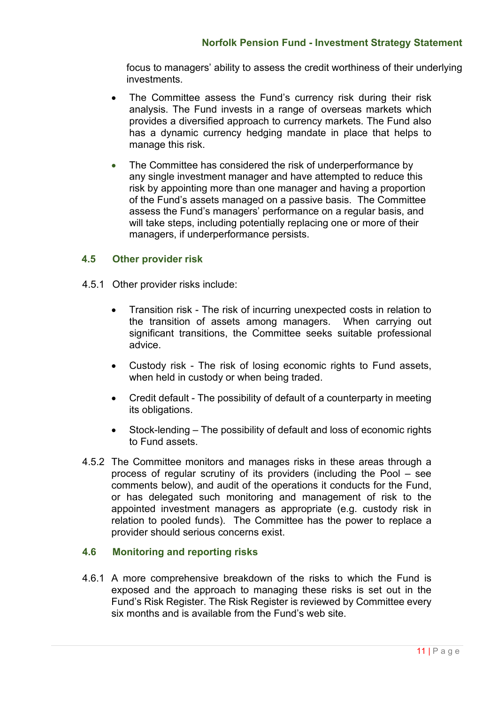focus to managers' ability to assess the credit worthiness of their underlying investments.

- The Committee assess the Fund's currency risk during their risk analysis. The Fund invests in a range of overseas markets which provides a diversified approach to currency markets. The Fund also has a dynamic currency hedging mandate in place that helps to manage this risk.
- The Committee has considered the risk of underperformance by any single investment manager and have attempted to reduce this risk by appointing more than one manager and having a proportion of the Fund's assets managed on a passive basis. The Committee assess the Fund's managers' performance on a regular basis, and will take steps, including potentially replacing one or more of their managers, if underperformance persists.

### **4.5 Other provider risk**

- 4.5.1 Other provider risks include:
	- Transition risk The risk of incurring unexpected costs in relation to the transition of assets among managers. When carrying out significant transitions, the Committee seeks suitable professional advice.
	- Custody risk The risk of losing economic rights to Fund assets, when held in custody or when being traded.
	- Credit default The possibility of default of a counterparty in meeting its obligations.
	- Stock-lending The possibility of default and loss of economic rights to Fund assets.
- 4.5.2 The Committee monitors and manages risks in these areas through a process of regular scrutiny of its providers (including the Pool – see comments below), and audit of the operations it conducts for the Fund, or has delegated such monitoring and management of risk to the appointed investment managers as appropriate (e.g. custody risk in relation to pooled funds). The Committee has the power to replace a provider should serious concerns exist.

### **4.6 Monitoring and reporting risks**

4.6.1 A more comprehensive breakdown of the risks to which the Fund is exposed and the approach to managing these risks is set out in the Fund's Risk Register. The Risk Register is reviewed by Committee every six months and is available from the Fund's web site.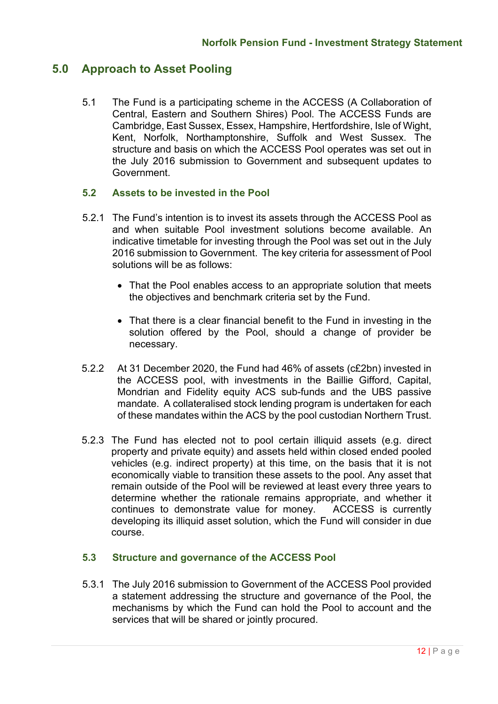# **5.0 Approach to Asset Pooling**

5.1 The Fund is a participating scheme in the ACCESS (A Collaboration of Central, Eastern and Southern Shires) Pool. The ACCESS Funds are Cambridge, East Sussex, Essex, Hampshire, Hertfordshire, Isle of Wight, Kent, Norfolk, Northamptonshire, Suffolk and West Sussex. The structure and basis on which the ACCESS Pool operates was set out in the July 2016 submission to Government and subsequent updates to Government.

### **5.2 Assets to be invested in the Pool**

- 5.2.1 The Fund's intention is to invest its assets through the ACCESS Pool as and when suitable Pool investment solutions become available. An indicative timetable for investing through the Pool was set out in the July 2016 submission to Government. The key criteria for assessment of Pool solutions will be as follows:
	- That the Pool enables access to an appropriate solution that meets the objectives and benchmark criteria set by the Fund.
	- That there is a clear financial benefit to the Fund in investing in the solution offered by the Pool, should a change of provider be necessary.
- 5.2.2 At 31 December 2020, the Fund had 46% of assets (c£2bn) invested in the ACCESS pool, with investments in the Baillie Gifford, Capital, Mondrian and Fidelity equity ACS sub-funds and the UBS passive mandate. A collateralised stock lending program is undertaken for each of these mandates within the ACS by the pool custodian Northern Trust.
- 5.2.3 The Fund has elected not to pool certain illiquid assets (e.g. direct property and private equity) and assets held within closed ended pooled vehicles (e.g. indirect property) at this time, on the basis that it is not economically viable to transition these assets to the pool. Any asset that remain outside of the Pool will be reviewed at least every three years to determine whether the rationale remains appropriate, and whether it continues to demonstrate value for money. ACCESS is currently developing its illiquid asset solution, which the Fund will consider in due course.

### **5.3 Structure and governance of the ACCESS Pool**

5.3.1 The July 2016 submission to Government of the ACCESS Pool provided a statement addressing the structure and governance of the Pool, the mechanisms by which the Fund can hold the Pool to account and the services that will be shared or jointly procured.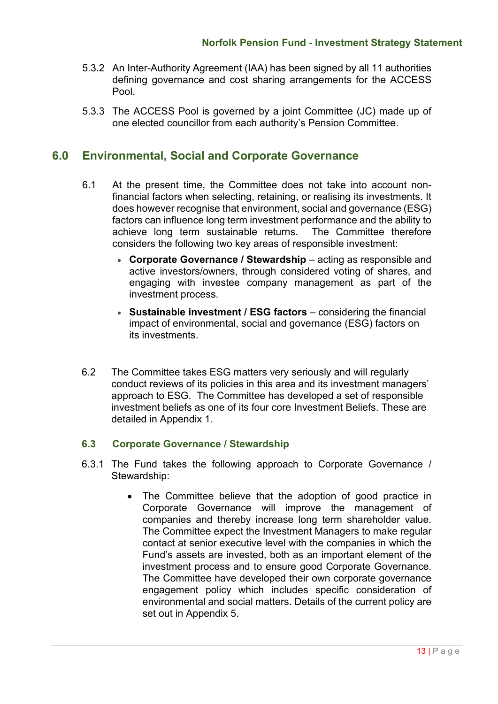- 5.3.2 An Inter-Authority Agreement (IAA) has been signed by all 11 authorities defining governance and cost sharing arrangements for the ACCESS Pool.
- 5.3.3 The ACCESS Pool is governed by a joint Committee (JC) made up of one elected councillor from each authority's Pension Committee.

# **6.0 Environmental, Social and Corporate Governance**

- 6.1 At the present time, the Committee does not take into account nonfinancial factors when selecting, retaining, or realising its investments. It does however recognise that environment, social and governance (ESG) factors can influence long term investment performance and the ability to achieve long term sustainable returns. The Committee therefore considers the following two key areas of responsible investment:
	- **Corporate Governance / Stewardship**  acting as responsible and active investors/owners, through considered voting of shares, and engaging with investee company management as part of the investment process.
	- **Sustainable investment / ESG factors** considering the financial impact of environmental, social and governance (ESG) factors on its investments.
- 6.2 The Committee takes ESG matters very seriously and will regularly conduct reviews of its policies in this area and its investment managers' approach to ESG. The Committee has developed a set of responsible investment beliefs as one of its four core Investment Beliefs. These are detailed in Appendix 1.

### **6.3 Corporate Governance / Stewardship**

- 6.3.1 The Fund takes the following approach to Corporate Governance / Stewardship:
	- The Committee believe that the adoption of good practice in Corporate Governance will improve the management of companies and thereby increase long term shareholder value. The Committee expect the Investment Managers to make regular contact at senior executive level with the companies in which the Fund's assets are invested, both as an important element of the investment process and to ensure good Corporate Governance. The Committee have developed their own corporate governance engagement policy which includes specific consideration of environmental and social matters. Details of the current policy are set out in Appendix 5.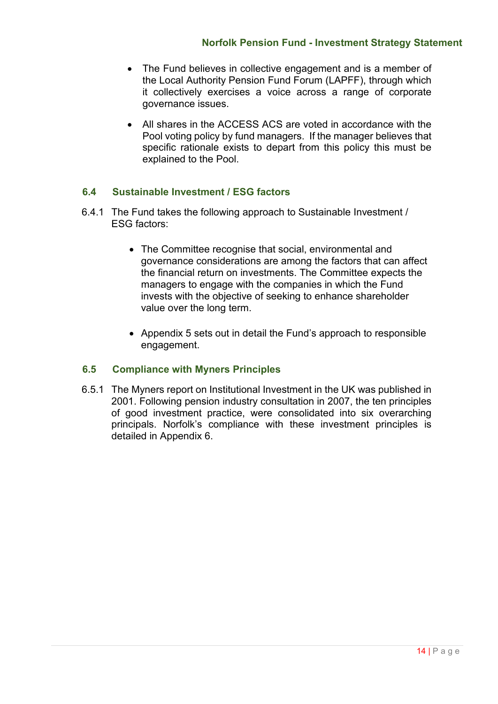- The Fund believes in collective engagement and is a member of the Local Authority Pension Fund Forum (LAPFF), through which it collectively exercises a voice across a range of corporate governance issues.
- All shares in the ACCESS ACS are voted in accordance with the Pool voting policy by fund managers. If the manager believes that specific rationale exists to depart from this policy this must be explained to the Pool.

# **6.4 Sustainable Investment / ESG factors**

- 6.4.1 The Fund takes the following approach to Sustainable Investment / ESG factors:
	- The Committee recognise that social, environmental and governance considerations are among the factors that can affect the financial return on investments. The Committee expects the managers to engage with the companies in which the Fund invests with the objective of seeking to enhance shareholder value over the long term.
	- Appendix 5 sets out in detail the Fund's approach to responsible engagement.

# **6.5 Compliance with Myners Principles**

6.5.1 The Myners report on Institutional Investment in the UK was published in 2001. Following pension industry consultation in 2007, the ten principles of good investment practice, were consolidated into six overarching principals. Norfolk's compliance with these investment principles is detailed in Appendix 6.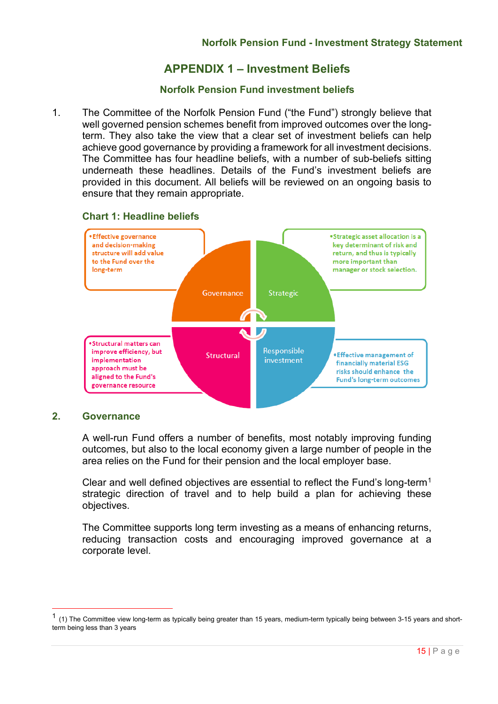# **APPENDIX 1 – Investment Beliefs**

### **Norfolk Pension Fund investment beliefs**

1. The Committee of the Norfolk Pension Fund ("the Fund") strongly believe that well governed pension schemes benefit from improved outcomes over the longterm. They also take the view that a clear set of investment beliefs can help achieve good governance by providing a framework for all investment decisions. The Committee has four headline beliefs, with a number of sub-beliefs sitting underneath these headlines. Details of the Fund's investment beliefs are provided in this document. All beliefs will be reviewed on an ongoing basis to ensure that they remain appropriate.



### **Chart 1: Headline beliefs**

### **2. Governance**

A well-run Fund offers a number of benefits, most notably improving funding outcomes, but also to the local economy given a large number of people in the area relies on the Fund for their pension and the local employer base.

Clear and well defined objectives are essential to reflect the Fund's long-term[1](#page-14-0) strategic direction of travel and to help build a plan for achieving these objectives.

The Committee supports long term investing as a means of enhancing returns, reducing transaction costs and encouraging improved governance at a corporate level.

<span id="page-14-0"></span> $1$  (1) The Committee view long-term as typically being greater than 15 years, medium-term typically being between 3-15 years and shortterm being less than 3 years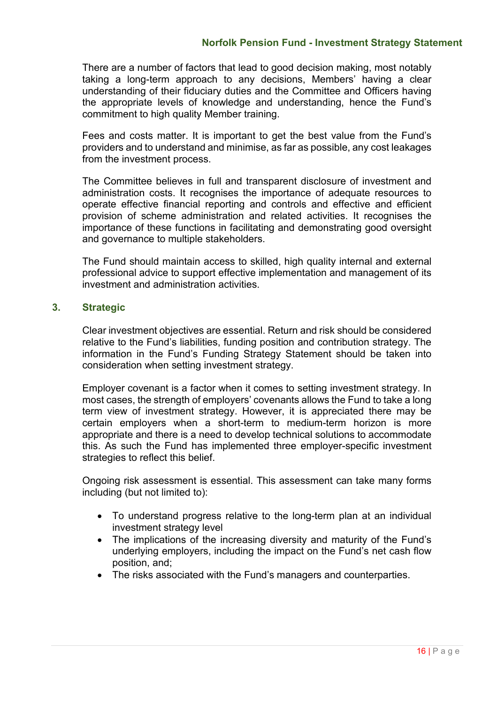There are a number of factors that lead to good decision making, most notably taking a long-term approach to any decisions, Members' having a clear understanding of their fiduciary duties and the Committee and Officers having the appropriate levels of knowledge and understanding, hence the Fund's commitment to high quality Member training.

Fees and costs matter. It is important to get the best value from the Fund's providers and to understand and minimise, as far as possible, any cost leakages from the investment process.

The Committee believes in full and transparent disclosure of investment and administration costs. It recognises the importance of adequate resources to operate effective financial reporting and controls and effective and efficient provision of scheme administration and related activities. It recognises the importance of these functions in facilitating and demonstrating good oversight and governance to multiple stakeholders.

The Fund should maintain access to skilled, high quality internal and external professional advice to support effective implementation and management of its investment and administration activities.

### **3. Strategic**

Clear investment objectives are essential. Return and risk should be considered relative to the Fund's liabilities, funding position and contribution strategy. The information in the Fund's Funding Strategy Statement should be taken into consideration when setting investment strategy.

Employer covenant is a factor when it comes to setting investment strategy. In most cases, the strength of employers' covenants allows the Fund to take a long term view of investment strategy. However, it is appreciated there may be certain employers when a short-term to medium-term horizon is more appropriate and there is a need to develop technical solutions to accommodate this. As such the Fund has implemented three employer-specific investment strategies to reflect this belief.

Ongoing risk assessment is essential. This assessment can take many forms including (but not limited to):

- To understand progress relative to the long-term plan at an individual investment strategy level
- The implications of the increasing diversity and maturity of the Fund's underlying employers, including the impact on the Fund's net cash flow position, and;
- The risks associated with the Fund's managers and counterparties.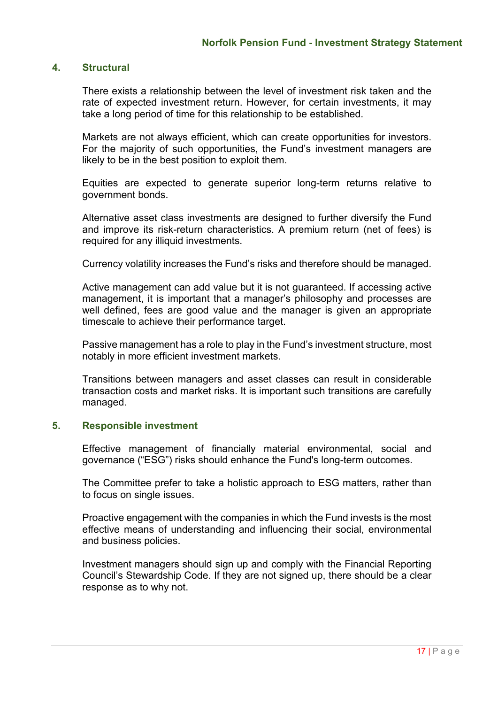### **4. Structural**

There exists a relationship between the level of investment risk taken and the rate of expected investment return. However, for certain investments, it may take a long period of time for this relationship to be established.

Markets are not always efficient, which can create opportunities for investors. For the majority of such opportunities, the Fund's investment managers are likely to be in the best position to exploit them.

Equities are expected to generate superior long-term returns relative to government bonds.

Alternative asset class investments are designed to further diversify the Fund and improve its risk-return characteristics. A premium return (net of fees) is required for any illiquid investments.

Currency volatility increases the Fund's risks and therefore should be managed.

Active management can add value but it is not guaranteed. If accessing active management, it is important that a manager's philosophy and processes are well defined, fees are good value and the manager is given an appropriate timescale to achieve their performance target.

Passive management has a role to play in the Fund's investment structure, most notably in more efficient investment markets.

Transitions between managers and asset classes can result in considerable transaction costs and market risks. It is important such transitions are carefully managed.

#### **5. Responsible investment**

Effective management of financially material environmental, social and governance ("ESG") risks should enhance the Fund's long-term outcomes.

The Committee prefer to take a holistic approach to ESG matters, rather than to focus on single issues.

Proactive engagement with the companies in which the Fund invests is the most effective means of understanding and influencing their social, environmental and business policies.

Investment managers should sign up and comply with the Financial Reporting Council's Stewardship Code. If they are not signed up, there should be a clear response as to why not.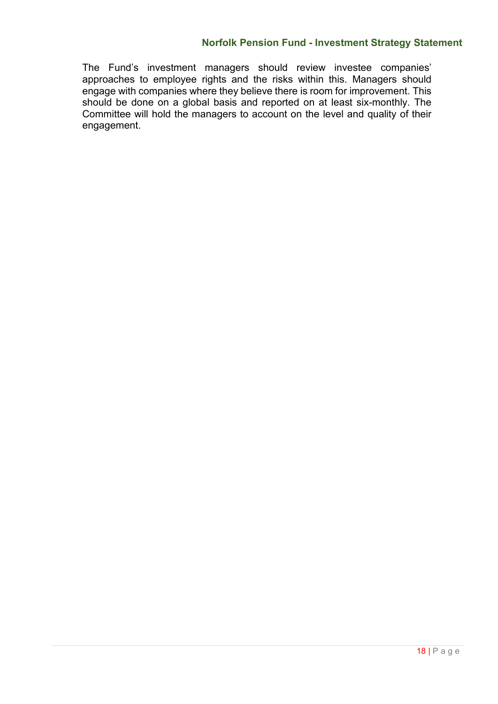### **Norfolk Pension Fund - Investment Strategy Statement**

The Fund's investment managers should review investee companies' approaches to employee rights and the risks within this. Managers should engage with companies where they believe there is room for improvement. This should be done on a global basis and reported on at least six-monthly. The Committee will hold the managers to account on the level and quality of their engagement.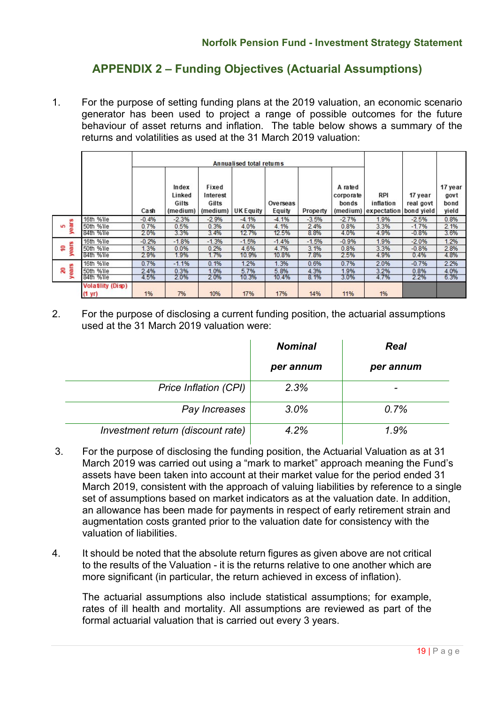# **APPENDIX 2 – Funding Objectives (Actuarial Assumptions)**

1. For the purpose of setting funding plans at the 2019 valuation, an economic scenario generator has been used to project a range of possible outcomes for the future behaviour of asset returns and inflation. The table below shows a summary of the returns and volatilities as used at the 31 March 2019 valuation:

|                   |                          | Cash    | Index<br>Linked<br>Gilts<br>(medium) | Fixed<br>Interest<br>Gilts<br>(medium) | Annualised total returns<br><b>UK Equity</b> | Overseas<br>Equity | Property | A rated<br>corporate<br>bonds | RPI<br>inflation<br>(medium) expectation | 17 year<br>real govt<br>bond yield | 17 year<br>govt<br>bond<br>yield |
|-------------------|--------------------------|---------|--------------------------------------|----------------------------------------|----------------------------------------------|--------------------|----------|-------------------------------|------------------------------------------|------------------------------------|----------------------------------|
| m                 | 16th %ile                | $-0.4%$ | $-2.3%$                              | $-2.9%$                                | $-4.1%$                                      | $-4.1%$            | $-3.5%$  | $-2.7%$                       | 1.9%                                     | $-2.5%$                            | 0.8%                             |
| year:<br>S        | 50th %ile                | 0.7%    | 0.5%                                 | 0.3%                                   | 4.0%                                         | 4.1%               | 2.4%     | 0.8%                          | 3.3%                                     | $-1.7%$                            | 2.1%                             |
|                   | 84th %ile                | 2.0%    | 3.3%                                 | 3.4%                                   | 12.7%                                        | 12.5%              | 8.8%     | 4.0%                          | 4.9%                                     | $-0.8%$                            | 3.6%                             |
|                   | 16th %ile                | $-0.2%$ | $-1.8%$                              | $-1.3%$                                | $-1.5%$                                      | $-1.4%$            | $-1.5%$  | $-0.9%$                       | 1.9%                                     | $-2.0%$                            | 1.2%                             |
| years<br><u>۽</u> | 50th %ile                | 1.3%    | 0.0%                                 | 0.2%                                   | 4.6%                                         | 4.7%               | 3.1%     | 0.8%                          | 3.3%                                     | $-0.8%$                            | 2.8%                             |
|                   | 84th %ile                | 2.9%    | 1.9%                                 | 1.7%                                   | 10.9%                                        | 10.8%              | 7.8%     | 2.5%                          | 4.9%                                     | 0.4%                               | 4.8%                             |
|                   | 16th %ile                | 0.7%    | $-1.1%$                              | 0.1%                                   | 1.2%                                         | 1.3%               | 0.6%     | 0.7%                          | 2.0%                                     | $-0.7%$                            | 2.2%                             |
| ears<br>ຂ         | 50th %ile                | 2.4%    | 0.3%                                 | 1.0%                                   | 5.7%                                         | 5.8%               | 4.3%     | 1.9%                          | 3.2%                                     | 0.8%                               | 4.0%                             |
| ∍                 | 84th %ile                | 4.5%    | 2.0%                                 | 2.0%                                   | 10.3%                                        | 10.4%              | 8.1%     | 3.0%                          | 4.7%                                     | 2.2%                               | 6.3%                             |
|                   | <b>Volatility (Disp)</b> |         |                                      |                                        |                                              |                    |          |                               |                                          |                                    |                                  |
|                   | $(1 \text{ yr})$         | 1%      | 7%                                   | 10%                                    | 17%                                          | 17%                | 14%      | 11%                           | 1%                                       |                                    |                                  |

2. For the purpose of disclosing a current funding position, the actuarial assumptions used at the 31 March 2019 valuation were:

|                                   | <b>Nominal</b> | <b>Real</b> |
|-----------------------------------|----------------|-------------|
|                                   | per annum      | per annum   |
| Price Inflation (CPI)             | 2.3%           |             |
| Pay Increases                     | 3.0%           | 0.7%        |
| Investment return (discount rate) | 4.2%           | 1.9%        |

- 3. For the purpose of disclosing the funding position, the Actuarial Valuation as at 31 March 2019 was carried out using a "mark to market" approach meaning the Fund's assets have been taken into account at their market value for the period ended 31 March 2019, consistent with the approach of valuing liabilities by reference to a single set of assumptions based on market indicators as at the valuation date. In addition, an allowance has been made for payments in respect of early retirement strain and augmentation costs granted prior to the valuation date for consistency with the valuation of liabilities.
- 4. It should be noted that the absolute return figures as given above are not critical to the results of the Valuation - it is the returns relative to one another which are more significant (in particular, the return achieved in excess of inflation).

The actuarial assumptions also include statistical assumptions; for example, rates of ill health and mortality. All assumptions are reviewed as part of the formal actuarial valuation that is carried out every 3 years.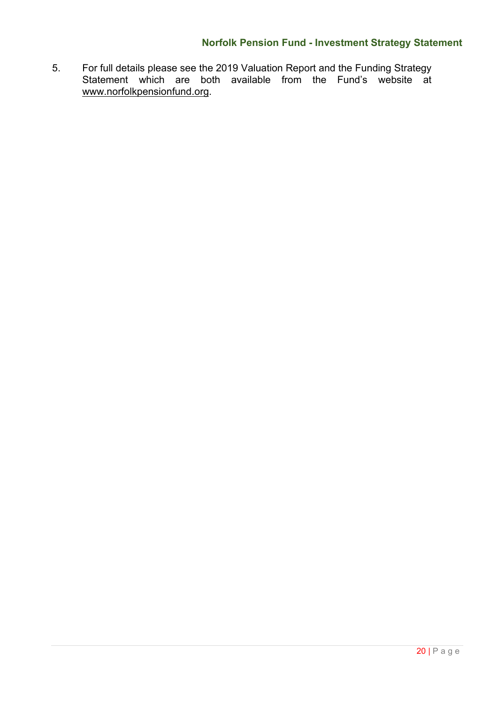# **Norfolk Pension Fund - Investment Strategy Statement**

5. For full details please see the 2019 Valuation Report and the Funding Strategy Statement which are both available from the Fund's website at [www.norfolkpensionfund.org.](http://www.norfolkpensionfund.org/)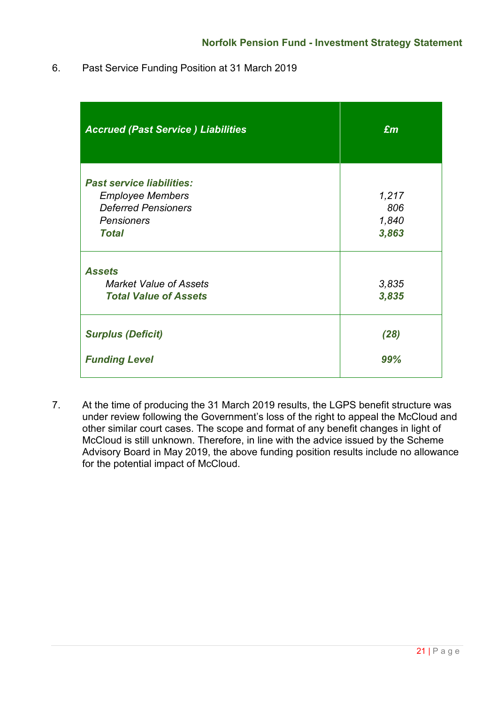6. Past Service Funding Position at 31 March 2019

| <b>Accrued (Past Service) Liabilities</b> | $\mathbf{f}$ |
|-------------------------------------------|--------------|
| <b>Past service liabilities:</b>          |              |
| <b>Employee Members</b>                   | 1,217        |
| <b>Deferred Pensioners</b>                | 806          |
| <b>Pensioners</b>                         | 1,840        |
| <b>Total</b>                              | 3,863        |
| <b>Assets</b>                             |              |
| <b>Market Value of Assets</b>             | 3,835        |
| <b>Total Value of Assets</b>              | 3,835        |
| <b>Surplus (Deficit)</b>                  | (28)         |
| <b>Funding Level</b>                      | 99%          |

7. At the time of producing the 31 March 2019 results, the LGPS benefit structure was under review following the Government's loss of the right to appeal the McCloud and other similar court cases. The scope and format of any benefit changes in light of McCloud is still unknown. Therefore, in line with the advice issued by the Scheme Advisory Board in May 2019, the above funding position results include no allowance for the potential impact of McCloud.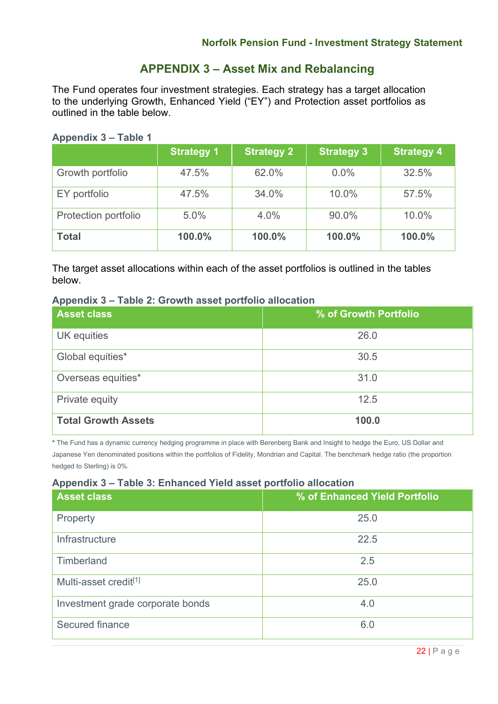# **APPENDIX 3 – Asset Mix and Rebalancing**

The Fund operates four investment strategies. Each strategy has a target allocation to the underlying Growth, Enhanced Yield ("EY") and Protection asset portfolios as outlined in the table below.

### **Appendix 3 – Table 1**

|                      | <b>Strategy 1</b> | <b>Strategy 2</b> | <b>Strategy 3</b> | <b>Strategy 4</b> |
|----------------------|-------------------|-------------------|-------------------|-------------------|
| Growth portfolio     | 47.5%             | 62.0%             | $0.0\%$           | 32.5%             |
| EY portfolio         | 47.5%             | 34.0%             | 10.0%             | 57.5%             |
| Protection portfolio | 5.0%              | 4.0%              | 90.0%             | 10.0%             |
| <b>Total</b>         | 100.0%            | 100.0%            | 100.0%            | 100.0%            |

The target asset allocations within each of the asset portfolios is outlined in the tables below.

### **Appendix 3 – Table 2: Growth asset portfolio allocation**

| <b>Asset class</b>         | % of Growth Portfolio |
|----------------------------|-----------------------|
| UK equities                | 26.0                  |
| Global equities*           | 30.5                  |
| Overseas equities*         | 31.0                  |
| Private equity             | 12.5                  |
| <b>Total Growth Assets</b> | 100.0                 |

**\*** The Fund has a dynamic currency hedging programme in place with Berenberg Bank and Insight to hedge the Euro, US Dollar and Japanese Yen denominated positions within the portfolios of Fidelity, Mondrian and Capital. The benchmark hedge ratio (the proportion hedged to Sterling) is 0%.

### **Appendix 3 – Table 3: Enhanced Yield asset portfolio allocation**

| <b>Asset class</b>                | % of Enhanced Yield Portfolio |
|-----------------------------------|-------------------------------|
| Property                          | 25.0                          |
| Infrastructure                    | 22.5                          |
| Timberland                        | 2.5                           |
| Multi-asset credit <sup>[1]</sup> | 25.0                          |
| Investment grade corporate bonds  | 4.0                           |
| Secured finance                   | 6.0                           |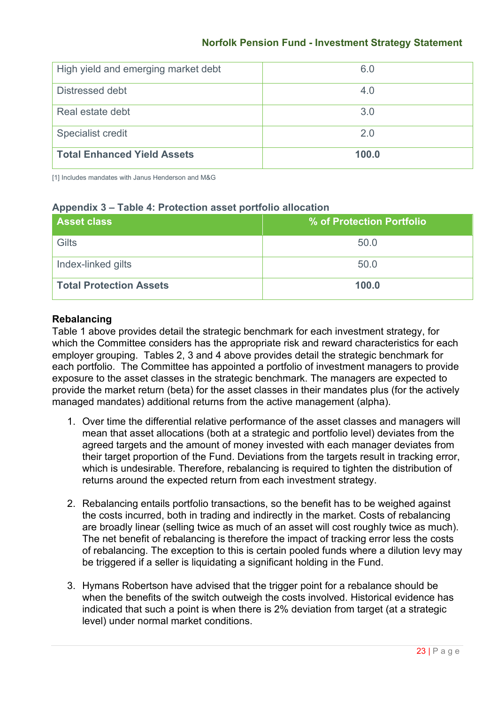# **Norfolk Pension Fund - Investment Strategy Statement**

| High yield and emerging market debt | 6.0   |
|-------------------------------------|-------|
| Distressed debt                     | 4.0   |
| Real estate debt                    | 3.0   |
| <b>Specialist credit</b>            | 2.0   |
| <b>Total Enhanced Yield Assets</b>  | 100.0 |

[1] Includes mandates with Janus Henderson and M&G

### **Appendix 3 – Table 4: Protection asset portfolio allocation**

| <b>Asset class</b>             | % of Protection Portfolio |
|--------------------------------|---------------------------|
| Gilts                          | 50.0                      |
| Index-linked gilts             | 50.0                      |
| <b>Total Protection Assets</b> | 100.0                     |

### **Rebalancing**

Table 1 above provides detail the strategic benchmark for each investment strategy, for which the Committee considers has the appropriate risk and reward characteristics for each employer grouping. Tables 2, 3 and 4 above provides detail the strategic benchmark for each portfolio. The Committee has appointed a portfolio of investment managers to provide exposure to the asset classes in the strategic benchmark. The managers are expected to provide the market return (beta) for the asset classes in their mandates plus (for the actively managed mandates) additional returns from the active management (alpha).

- 1. Over time the differential relative performance of the asset classes and managers will mean that asset allocations (both at a strategic and portfolio level) deviates from the agreed targets and the amount of money invested with each manager deviates from their target proportion of the Fund. Deviations from the targets result in tracking error, which is undesirable. Therefore, rebalancing is required to tighten the distribution of returns around the expected return from each investment strategy.
- 2. Rebalancing entails portfolio transactions, so the benefit has to be weighed against the costs incurred, both in trading and indirectly in the market. Costs of rebalancing are broadly linear (selling twice as much of an asset will cost roughly twice as much). The net benefit of rebalancing is therefore the impact of tracking error less the costs of rebalancing. The exception to this is certain pooled funds where a dilution levy may be triggered if a seller is liquidating a significant holding in the Fund.
- 3. Hymans Robertson have advised that the trigger point for a rebalance should be when the benefits of the switch outweigh the costs involved. Historical evidence has indicated that such a point is when there is 2% deviation from target (at a strategic level) under normal market conditions.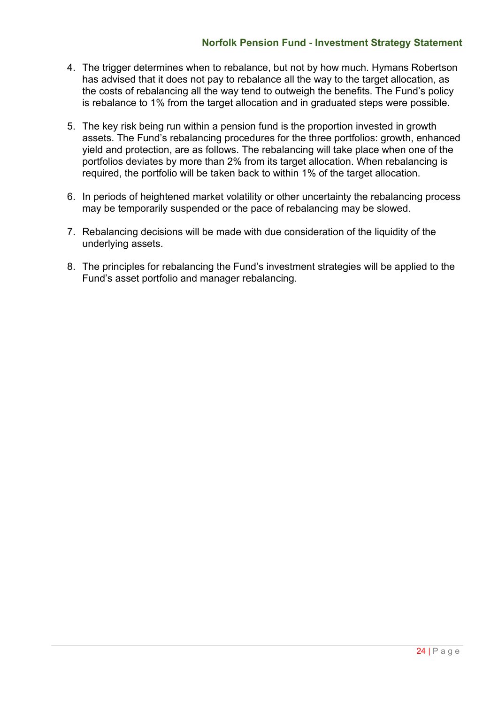### **Norfolk Pension Fund - Investment Strategy Statement**

- 4. The trigger determines when to rebalance, but not by how much. Hymans Robertson has advised that it does not pay to rebalance all the way to the target allocation, as the costs of rebalancing all the way tend to outweigh the benefits. The Fund's policy is rebalance to 1% from the target allocation and in graduated steps were possible.
- 5. The key risk being run within a pension fund is the proportion invested in growth assets. The Fund's rebalancing procedures for the three portfolios: growth, enhanced yield and protection, are as follows. The rebalancing will take place when one of the portfolios deviates by more than 2% from its target allocation. When rebalancing is required, the portfolio will be taken back to within 1% of the target allocation.
- 6. In periods of heightened market volatility or other uncertainty the rebalancing process may be temporarily suspended or the pace of rebalancing may be slowed.
- 7. Rebalancing decisions will be made with due consideration of the liquidity of the underlying assets.
- 8. The principles for rebalancing the Fund's investment strategies will be applied to the Fund's asset portfolio and manager rebalancing.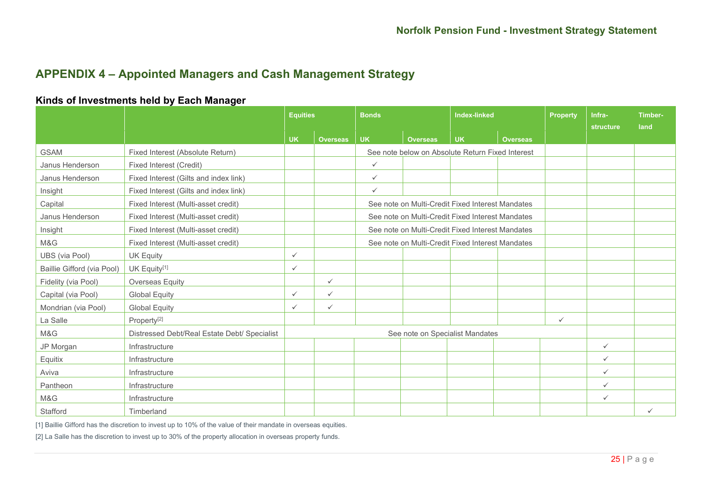# **APPENDIX 4 – Appointed Managers and Cash Management Strategy**

### **Kinds of Investments held by Each Manager**

|                            |                                              | <b>Equities</b>                 |                 | <b>Bonds</b>                                     |                                                  | <b>Index-linked</b> |                 | <b>Property</b> | Infra-<br><b>structure</b> | Timber-<br>land |
|----------------------------|----------------------------------------------|---------------------------------|-----------------|--------------------------------------------------|--------------------------------------------------|---------------------|-----------------|-----------------|----------------------------|-----------------|
|                            |                                              | <b>UK</b>                       | <b>Overseas</b> | <b>UK</b>                                        | <b>Overseas</b>                                  | <b>UK</b>           | <b>Overseas</b> |                 |                            |                 |
| <b>GSAM</b>                | Fixed Interest (Absolute Return)             |                                 |                 |                                                  | See note below on Absolute Return Fixed Interest |                     |                 |                 |                            |                 |
| Janus Henderson            | <b>Fixed Interest (Credit)</b>               |                                 |                 | $\checkmark$                                     |                                                  |                     |                 |                 |                            |                 |
| Janus Henderson            | Fixed Interest (Gilts and index link)        |                                 |                 | $\checkmark$                                     |                                                  |                     |                 |                 |                            |                 |
| Insight                    | Fixed Interest (Gilts and index link)        |                                 |                 | $\checkmark$                                     |                                                  |                     |                 |                 |                            |                 |
| Capital                    | Fixed Interest (Multi-asset credit)          |                                 |                 |                                                  | See note on Multi-Credit Fixed Interest Mandates |                     |                 |                 |                            |                 |
| Janus Henderson            | Fixed Interest (Multi-asset credit)          |                                 |                 |                                                  | See note on Multi-Credit Fixed Interest Mandates |                     |                 |                 |                            |                 |
| Insight                    | Fixed Interest (Multi-asset credit)          |                                 |                 |                                                  | See note on Multi-Credit Fixed Interest Mandates |                     |                 |                 |                            |                 |
| M&G                        | Fixed Interest (Multi-asset credit)          |                                 |                 | See note on Multi-Credit Fixed Interest Mandates |                                                  |                     |                 |                 |                            |                 |
| UBS (via Pool)             | <b>UK Equity</b>                             | $\checkmark$                    |                 |                                                  |                                                  |                     |                 |                 |                            |                 |
| Baillie Gifford (via Pool) | UK Equity <sup>[1]</sup>                     | $\checkmark$                    |                 |                                                  |                                                  |                     |                 |                 |                            |                 |
| Fidelity (via Pool)        | <b>Overseas Equity</b>                       |                                 | $\checkmark$    |                                                  |                                                  |                     |                 |                 |                            |                 |
| Capital (via Pool)         | <b>Global Equity</b>                         | $\checkmark$                    | $\checkmark$    |                                                  |                                                  |                     |                 |                 |                            |                 |
| Mondrian (via Pool)        | <b>Global Equity</b>                         | $\checkmark$                    | $\checkmark$    |                                                  |                                                  |                     |                 |                 |                            |                 |
| La Salle                   | Property <sup>[2]</sup>                      |                                 |                 |                                                  |                                                  |                     |                 | $\checkmark$    |                            |                 |
| M&G                        | Distressed Debt/Real Estate Debt/ Specialist | See note on Specialist Mandates |                 |                                                  |                                                  |                     |                 |                 |                            |                 |
| JP Morgan                  | Infrastructure                               |                                 |                 |                                                  |                                                  |                     |                 |                 | $\checkmark$               |                 |
| Equitix                    | Infrastructure                               |                                 |                 |                                                  |                                                  |                     |                 |                 | $\checkmark$               |                 |
| Aviva                      | Infrastructure                               |                                 |                 |                                                  |                                                  |                     |                 |                 | $\checkmark$               |                 |
| Pantheon                   | Infrastructure                               |                                 |                 |                                                  |                                                  |                     | $\checkmark$    |                 |                            |                 |
| M&G                        | Infrastructure                               |                                 |                 |                                                  |                                                  |                     |                 |                 | $\checkmark$               |                 |
| Stafford                   | Timberland                                   |                                 |                 |                                                  |                                                  |                     |                 |                 |                            | ✓               |

[1] Baillie Gifford has the discretion to invest up to 10% of the value of their mandate in overseas equities.

[2] La Salle has the discretion to invest up to 30% of the property allocation in overseas property funds.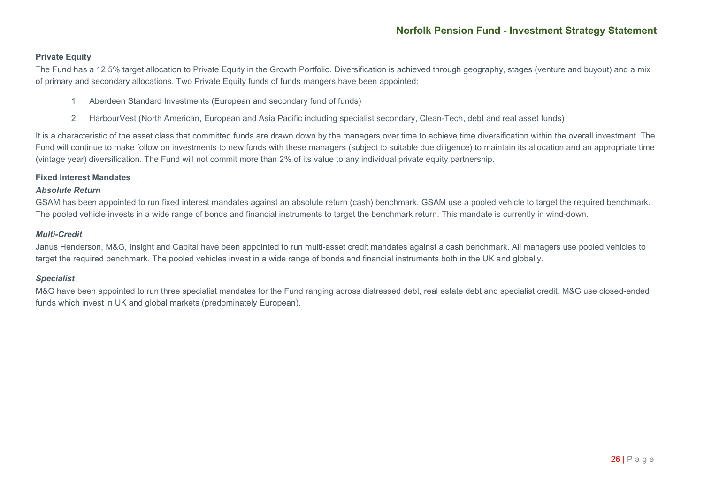#### **Private Equity**

The Fund has a 12.5% target allocation to Private Equity in the Growth Portfolio. Diversification is achieved through geography, stages (venture and buyout) and a mix of primary and secondary allocations. Two Private Equity funds of funds mangers have been appointed:

- 1 Aberdeen Standard Investments (European and secondary fund of funds)
- 2 HarbourVest (North American, European and Asia Pacific including specialist secondary, Clean-Tech, debt and real asset funds)

It is a characteristic of the asset class that committed funds are drawn down by the managers over time to achieve time diversification within the overall investment. The Fund will continue to make follow on investments to new funds with these managers (subject to suitable due diligence) to maintain its allocation and an appropriate time (vintage year) diversification. The Fund will not commit more than 2% of its value to any individual private equity partnership.

#### **Fixed Interest Mandates**

#### *Absolute Return*

GSAM has been appointed to run fixed interest mandates against an absolute return (cash) benchmark. GSAM use a pooled vehicle to target the required benchmark. The pooled vehicle invests in a wide range of bonds and financial instruments to target the benchmark return. This mandate is currently in wind-down.

#### *Multi-Credit*

Janus Henderson, M&G, Insight and Capital have been appointed to run multi-asset credit mandates against a cash benchmark. All managers use pooled vehicles to target the required benchmark. The pooled vehicles invest in a wide range of bonds and financial instruments both in the UK and globally.

#### *Specialist*

M&G have been appointed to run three specialist mandates for the Fund ranging across distressed debt, real estate debt and specialist credit. M&G use closed-ended funds which invest in UK and global markets (predominately European).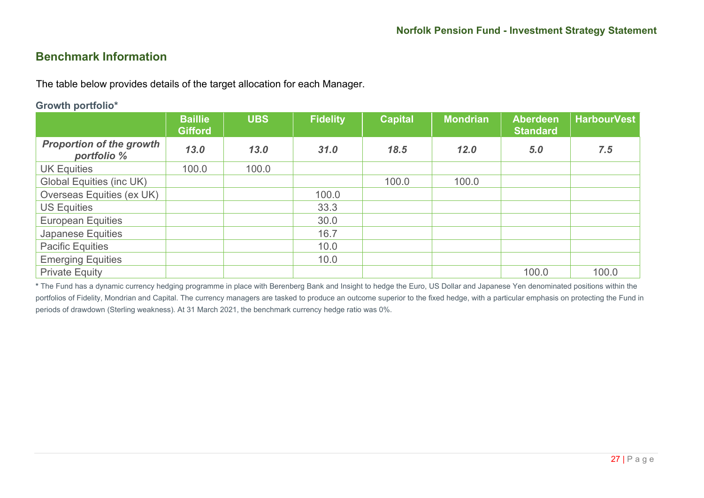# **Benchmark Information**

The table below provides details of the target allocation for each Manager.

#### **Growth portfolio\***

|                                                | <b>Baillie</b><br><b>Gifford</b> | <b>UBS</b> | <b>Fidelity</b> | <b>Capital</b> | <b>Mondrian</b> | <b>Aberdeen</b><br><b>Standard</b> | <b>HarbourVest</b> |
|------------------------------------------------|----------------------------------|------------|-----------------|----------------|-----------------|------------------------------------|--------------------|
| <b>Proportion of the growth</b><br>portfolio % | 13.0                             | 13.0       | 31.0            | 18.5           | 12.0            | 5.0                                | 7.5                |
| <b>UK Equities</b>                             | 100.0                            | 100.0      |                 |                |                 |                                    |                    |
| <b>Global Equities (inc UK)</b>                |                                  |            |                 | 100.0          | 100.0           |                                    |                    |
| Overseas Equities (ex UK)                      |                                  |            | 100.0           |                |                 |                                    |                    |
| <b>US Equities</b>                             |                                  |            | 33.3            |                |                 |                                    |                    |
| <b>European Equities</b>                       |                                  |            | 30.0            |                |                 |                                    |                    |
| <b>Japanese Equities</b>                       |                                  |            | 16.7            |                |                 |                                    |                    |
| <b>Pacific Equities</b>                        |                                  |            | 10.0            |                |                 |                                    |                    |
| <b>Emerging Equities</b>                       |                                  |            | 10.0            |                |                 |                                    |                    |
| <b>Private Equity</b>                          |                                  |            |                 |                |                 | 100.0                              | 100.0              |

**\*** The Fund has a dynamic currency hedging programme in place with Berenberg Bank and Insight to hedge the Euro, US Dollar and Japanese Yen denominated positions within the portfolios of Fidelity, Mondrian and Capital. The currency managers are tasked to produce an outcome superior to the fixed hedge, with a particular emphasis on protecting the Fund in periods of drawdown (Sterling weakness). At 31 March 2021, the benchmark currency hedge ratio was 0%.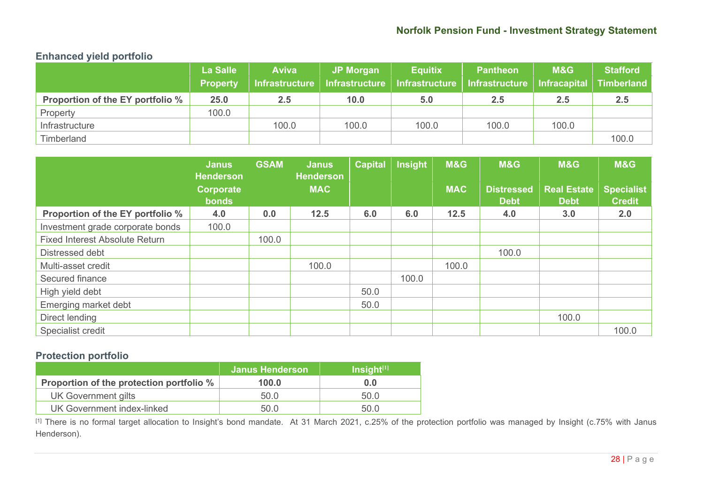# **Norfolk Pension Fund - Investment Strategy Statement**

# **Enhanced yield portfolio**

|                                  | <b>La Salle</b><br><b>Property</b> | <b>Aviva</b><br>Infrastructure | <b>JP Morgan</b><br>Infrastructure | <b>Equitix</b><br>Infrastructure | <b>Pantheon</b><br><b>Infrastructure</b> | M&G<br>  Infracapital | <b>Stafford</b><br><b>Timberland</b> |
|----------------------------------|------------------------------------|--------------------------------|------------------------------------|----------------------------------|------------------------------------------|-----------------------|--------------------------------------|
| Proportion of the EY portfolio % | 25.0                               | 2.5                            | 10.0                               | 5.0                              | 2.5                                      | 2.5                   | 2.5                                  |
| Property                         | 100.0                              |                                |                                    |                                  |                                          |                       |                                      |
| Infrastructure                   |                                    | 100.0                          | 100.0                              | 100.0                            | 100.0                                    | 100.0                 |                                      |
| Timberland                       |                                    |                                |                                    |                                  |                                          |                       | 100.0                                |

|                                       | <b>Janus</b><br><b>Henderson</b> | <b>GSAM</b> | <b>Janus</b><br><b>Henderson</b> | <b>Capital</b> | <b>Insight</b> | M&G        | M&G                              | <b>M&amp;G</b>                    | <b>M&amp;G</b>                     |
|---------------------------------------|----------------------------------|-------------|----------------------------------|----------------|----------------|------------|----------------------------------|-----------------------------------|------------------------------------|
|                                       | <b>Corporate</b><br><b>bonds</b> |             | <b>MAC</b>                       |                |                | <b>MAC</b> | <b>Distressed</b><br><b>Debt</b> | <b>Real Estate</b><br><b>Debt</b> | <b>Specialist</b><br><b>Credit</b> |
| Proportion of the EY portfolio %      | 4.0                              | 0.0         | 12.5                             | 6.0            | 6.0            | $12.5$     | 4.0                              | 3.0                               | 2.0                                |
| Investment grade corporate bonds      | 100.0                            |             |                                  |                |                |            |                                  |                                   |                                    |
| <b>Fixed Interest Absolute Return</b> |                                  | 100.0       |                                  |                |                |            |                                  |                                   |                                    |
| Distressed debt                       |                                  |             |                                  |                |                |            | 100.0                            |                                   |                                    |
| Multi-asset credit                    |                                  |             | 100.0                            |                |                | 100.0      |                                  |                                   |                                    |
| Secured finance                       |                                  |             |                                  |                | 100.0          |            |                                  |                                   |                                    |
| High yield debt                       |                                  |             |                                  | 50.0           |                |            |                                  |                                   |                                    |
| Emerging market debt                  |                                  |             |                                  | 50.0           |                |            |                                  |                                   |                                    |
| Direct lending                        |                                  |             |                                  |                |                |            |                                  | 100.0                             |                                    |
| Specialist credit                     |                                  |             |                                  |                |                |            |                                  |                                   | 100.0                              |

### **Protection portfolio**

|                                          | <b>Janus Henderson</b> | $Insight^{[1]}$ |
|------------------------------------------|------------------------|-----------------|
| Proportion of the protection portfolio % | 100.0                  | 0.0             |
| <b>UK Government gilts</b>               | 50.0                   | 50.0            |
| UK Government index-linked               | 50.0                   | 50 Q            |

[1] There is no formal target allocation to Insight's bond mandate. At 31 March 2021, c.25% of the protection portfolio was managed by Insight (c.75% with Janus Henderson).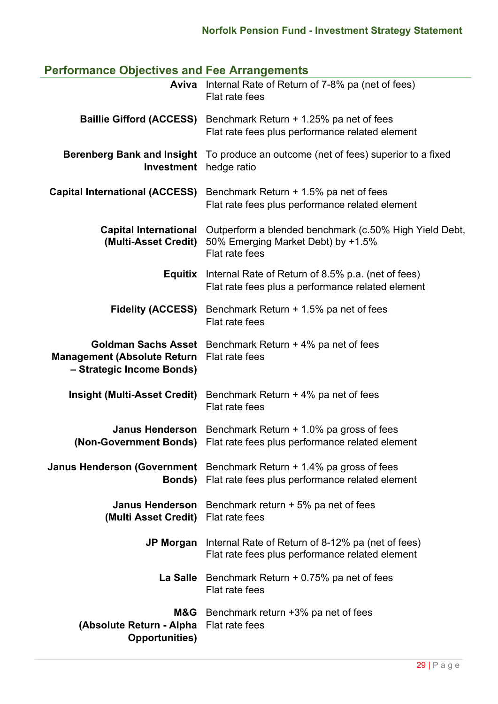# **Performance Objectives and Fee Arrangements**

|                                                                                               | <b>Aviva</b> Internal Rate of Return of 7-8% pa (net of fees)<br>Flat rate fees                                                  |
|-----------------------------------------------------------------------------------------------|----------------------------------------------------------------------------------------------------------------------------------|
| <b>Baillie Gifford (ACCESS)</b>                                                               | Benchmark Return + 1.25% pa net of fees<br>Flat rate fees plus performance related element                                       |
| <b>Berenberg Bank and Insight</b><br><b>Investment</b>                                        | To produce an outcome (net of fees) superior to a fixed<br>hedge ratio                                                           |
| <b>Capital International (ACCESS)</b>                                                         | Benchmark Return + 1.5% pa net of fees<br>Flat rate fees plus performance related element                                        |
| <b>Capital International</b><br>(Multi-Asset Credit)                                          | Outperform a blended benchmark (c.50% High Yield Debt,<br>50% Emerging Market Debt) by +1.5%<br>Flat rate fees                   |
|                                                                                               | <b>Equitix</b> Internal Rate of Return of 8.5% p.a. (net of fees)<br>Flat rate fees plus a performance related element           |
| <b>Fidelity (ACCESS)</b>                                                                      | Benchmark Return + 1.5% pa net of fees<br>Flat rate fees                                                                         |
| <b>Goldman Sachs Asset</b><br><b>Management (Absolute Return</b><br>- Strategic Income Bonds) | Benchmark Return + 4% pa net of fees<br>Flat rate fees                                                                           |
| <b>Insight (Multi-Asset Credit)</b>                                                           | Benchmark Return + 4% pa net of fees<br>Flat rate fees                                                                           |
| <b>Janus Henderson</b><br>(Non-Government Bonds)                                              | Benchmark Return + 1.0% pa gross of fees<br>Flat rate fees plus performance related element                                      |
| Bonds)                                                                                        | <b>Janus Henderson (Government</b> Benchmark Return $+1.4\%$ pa gross of fees<br>Flat rate fees plus performance related element |
| <b>Janus Henderson</b><br>(Multi Asset Credit)                                                | Benchmark return $+5\%$ pa net of fees<br>Flat rate fees                                                                         |
|                                                                                               | <b>JP Morgan</b> Internal Rate of Return of 8-12% pa (net of fees)<br>Flat rate fees plus performance related element            |
|                                                                                               | La Salle Benchmark Return $+0.75%$ pa net of fees<br>Flat rate fees                                                              |
| M&G<br>(Absolute Return - Alpha<br><b>Opportunities)</b>                                      | Benchmark return +3% pa net of fees<br>Flat rate fees                                                                            |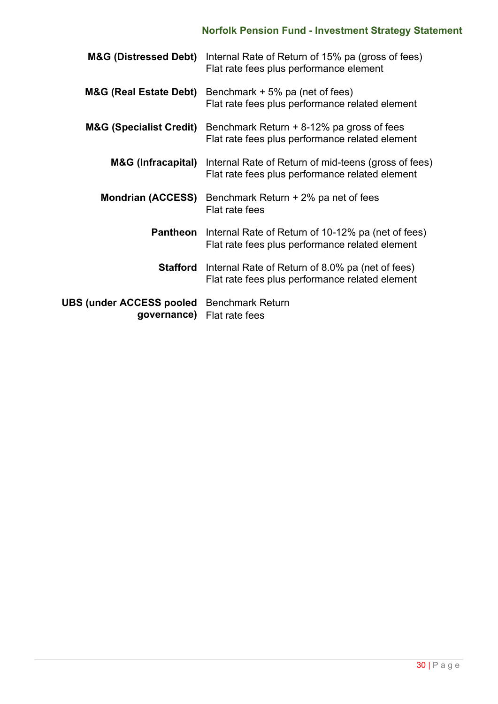# **Norfolk Pension Fund - Investment Strategy Statement**

| <b>M&amp;G (Distressed Debt)</b>                                | Internal Rate of Return of 15% pa (gross of fees)<br>Flat rate fees plus performance element                        |
|-----------------------------------------------------------------|---------------------------------------------------------------------------------------------------------------------|
| <b>M&amp;G (Real Estate Debt)</b>                               | Benchmark $+5\%$ pa (net of fees)<br>Flat rate fees plus performance related element                                |
| <b>M&amp;G (Specialist Credit)</b>                              | Benchmark Return $+8-12%$ pa gross of fees<br>Flat rate fees plus performance related element                       |
| M&G (Infracapital)                                              | Internal Rate of Return of mid-teens (gross of fees)<br>Flat rate fees plus performance related element             |
| <b>Mondrian (ACCESS)</b>                                        | Benchmark Return + 2% pa net of fees<br>Flat rate fees                                                              |
| <b>Pantheon</b>                                                 | Internal Rate of Return of 10-12% pa (net of fees)<br>Flat rate fees plus performance related element               |
|                                                                 | <b>Stafford</b> Internal Rate of Return of 8.0% pa (net of fees)<br>Flat rate fees plus performance related element |
| <b>UBS (under ACCESS pooled</b> Benchmark Return<br>governance) | Flat rate fees                                                                                                      |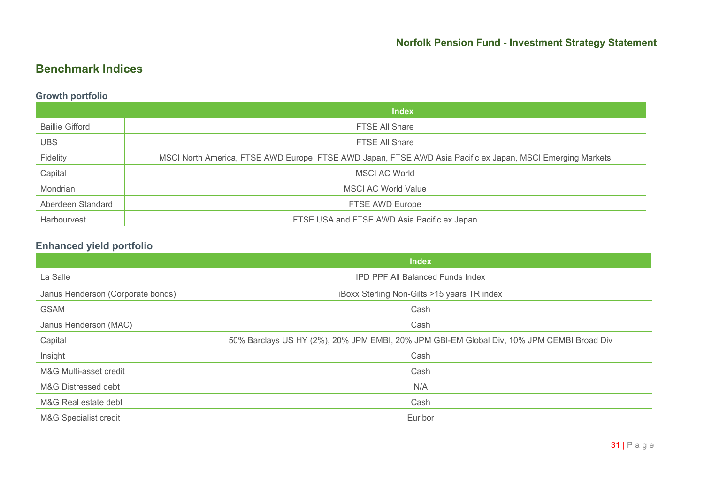# **Benchmark Indices**

# **Growth portfolio**

|                        | <b>Index</b>                                                                                               |
|------------------------|------------------------------------------------------------------------------------------------------------|
| <b>Baillie Gifford</b> | <b>FTSE All Share</b>                                                                                      |
| <b>UBS</b>             | <b>FTSE All Share</b>                                                                                      |
| Fidelity               | MSCI North America, FTSE AWD Europe, FTSE AWD Japan, FTSE AWD Asia Pacific ex Japan, MSCI Emerging Markets |
| Capital                | MSCI AC World                                                                                              |
| Mondrian               | <b>MSCI AC World Value</b>                                                                                 |
| Aberdeen Standard      | FTSE AWD Europe                                                                                            |
| Harbourvest            | FTSE USA and FTSE AWD Asia Pacific ex Japan                                                                |

# **Enhanced yield portfolio**

|                                   | <b>Index</b>                                                                              |
|-----------------------------------|-------------------------------------------------------------------------------------------|
| La Salle                          | <b>IPD PPF All Balanced Funds Index</b>                                                   |
| Janus Henderson (Corporate bonds) | iBoxx Sterling Non-Gilts >15 years TR index                                               |
| <b>GSAM</b>                       | Cash                                                                                      |
| Janus Henderson (MAC)             | Cash                                                                                      |
| Capital                           | 50% Barclays US HY (2%), 20% JPM EMBI, 20% JPM GBI-EM Global Div, 10% JPM CEMBI Broad Div |
| Insight                           | Cash                                                                                      |
| M&G Multi-asset credit            | Cash                                                                                      |
| M&G Distressed debt               | N/A                                                                                       |
| M&G Real estate debt              | Cash                                                                                      |
| M&G Specialist credit             | Euribor                                                                                   |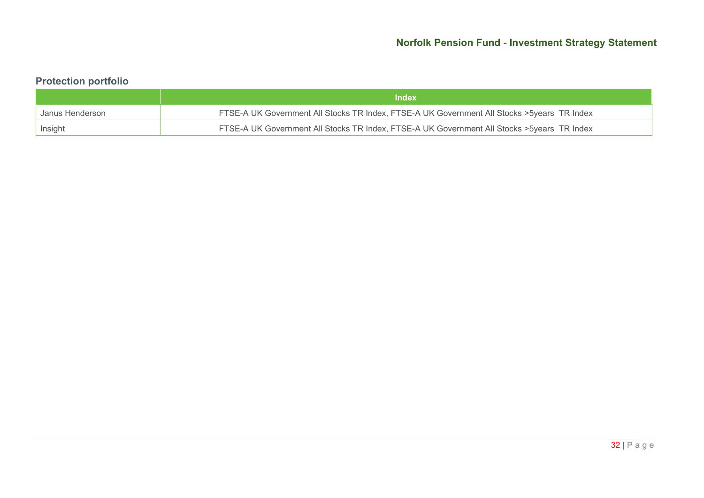# **Protection portfolio**

|                 | <b>Index</b>                                                                                |
|-----------------|---------------------------------------------------------------------------------------------|
| Janus Henderson | FTSE-A UK Government All Stocks TR Index, FTSE-A UK Government All Stocks > 5years TR Index |
| Insight         | FTSE-A UK Government All Stocks TR Index, FTSE-A UK Government All Stocks > 5years TR Index |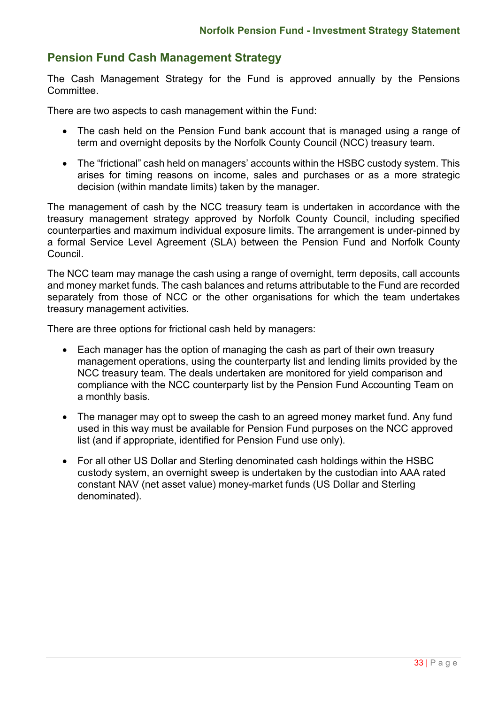# **Pension Fund Cash Management Strategy**

The Cash Management Strategy for the Fund is approved annually by the Pensions Committee.

There are two aspects to cash management within the Fund:

- The cash held on the Pension Fund bank account that is managed using a range of term and overnight deposits by the Norfolk County Council (NCC) treasury team.
- The "frictional" cash held on managers' accounts within the HSBC custody system. This arises for timing reasons on income, sales and purchases or as a more strategic decision (within mandate limits) taken by the manager.

The management of cash by the NCC treasury team is undertaken in accordance with the treasury management strategy approved by Norfolk County Council, including specified counterparties and maximum individual exposure limits. The arrangement is under-pinned by a formal Service Level Agreement (SLA) between the Pension Fund and Norfolk County Council.

The NCC team may manage the cash using a range of overnight, term deposits, call accounts and money market funds. The cash balances and returns attributable to the Fund are recorded separately from those of NCC or the other organisations for which the team undertakes treasury management activities.

There are three options for frictional cash held by managers:

- Each manager has the option of managing the cash as part of their own treasury management operations, using the counterparty list and lending limits provided by the NCC treasury team. The deals undertaken are monitored for yield comparison and compliance with the NCC counterparty list by the Pension Fund Accounting Team on a monthly basis.
- The manager may opt to sweep the cash to an agreed money market fund. Any fund used in this way must be available for Pension Fund purposes on the NCC approved list (and if appropriate, identified for Pension Fund use only).
- For all other US Dollar and Sterling denominated cash holdings within the HSBC custody system, an overnight sweep is undertaken by the custodian into AAA rated constant NAV (net asset value) money-market funds (US Dollar and Sterling denominated).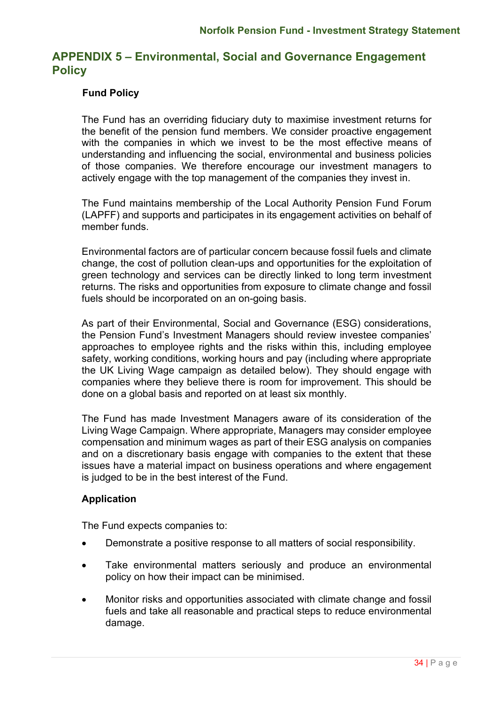# **APPENDIX 5 – Environmental, Social and Governance Engagement Policy**

### **Fund Policy**

The Fund has an overriding fiduciary duty to maximise investment returns for the benefit of the pension fund members. We consider proactive engagement with the companies in which we invest to be the most effective means of understanding and influencing the social, environmental and business policies of those companies. We therefore encourage our investment managers to actively engage with the top management of the companies they invest in.

The Fund maintains membership of the Local Authority Pension Fund Forum (LAPFF) and supports and participates in its engagement activities on behalf of member funds.

Environmental factors are of particular concern because fossil fuels and climate change, the cost of pollution clean-ups and opportunities for the exploitation of green technology and services can be directly linked to long term investment returns. The risks and opportunities from exposure to climate change and fossil fuels should be incorporated on an on-going basis.

As part of their Environmental, Social and Governance (ESG) considerations, the Pension Fund's Investment Managers should review investee companies' approaches to employee rights and the risks within this, including employee safety, working conditions, working hours and pay (including where appropriate the UK Living Wage campaign as detailed below). They should engage with companies where they believe there is room for improvement. This should be done on a global basis and reported on at least six monthly.

The Fund has made Investment Managers aware of its consideration of the Living Wage Campaign. Where appropriate, Managers may consider employee compensation and minimum wages as part of their ESG analysis on companies and on a discretionary basis engage with companies to the extent that these issues have a material impact on business operations and where engagement is judged to be in the best interest of the Fund.

### **Application**

The Fund expects companies to:

- Demonstrate a positive response to all matters of social responsibility.
- Take environmental matters seriously and produce an environmental policy on how their impact can be minimised.
- Monitor risks and opportunities associated with climate change and fossil fuels and take all reasonable and practical steps to reduce environmental damage.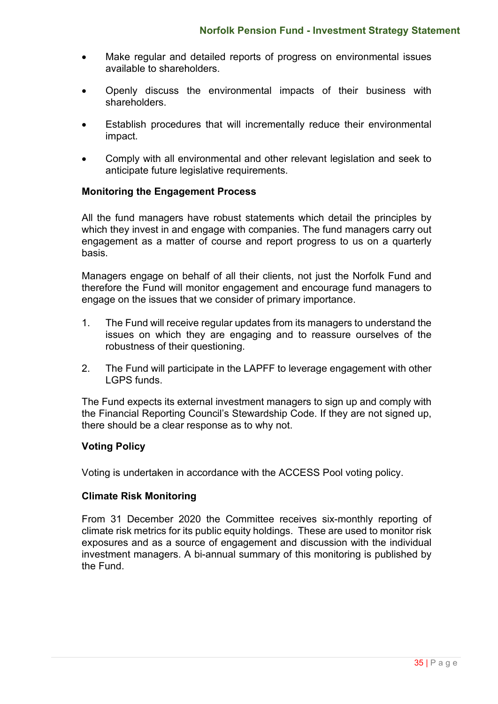- Make regular and detailed reports of progress on environmental issues available to shareholders.
- Openly discuss the environmental impacts of their business with shareholders.
- Establish procedures that will incrementally reduce their environmental impact.
- Comply with all environmental and other relevant legislation and seek to anticipate future legislative requirements.

### **Monitoring the Engagement Process**

All the fund managers have robust statements which detail the principles by which they invest in and engage with companies. The fund managers carry out engagement as a matter of course and report progress to us on a quarterly basis.

Managers engage on behalf of all their clients, not just the Norfolk Fund and therefore the Fund will monitor engagement and encourage fund managers to engage on the issues that we consider of primary importance.

- 1. The Fund will receive regular updates from its managers to understand the issues on which they are engaging and to reassure ourselves of the robustness of their questioning.
- 2. The Fund will participate in the LAPFF to leverage engagement with other LGPS funds.

The Fund expects its external investment managers to sign up and comply with the Financial Reporting Council's Stewardship Code. If they are not signed up, there should be a clear response as to why not.

### **Voting Policy**

Voting is undertaken in accordance with the ACCESS Pool voting policy.

### **Climate Risk Monitoring**

From 31 December 2020 the Committee receives six-monthly reporting of climate risk metrics for its public equity holdings. These are used to monitor risk exposures and as a source of engagement and discussion with the individual investment managers. A bi-annual summary of this monitoring is published by the Fund.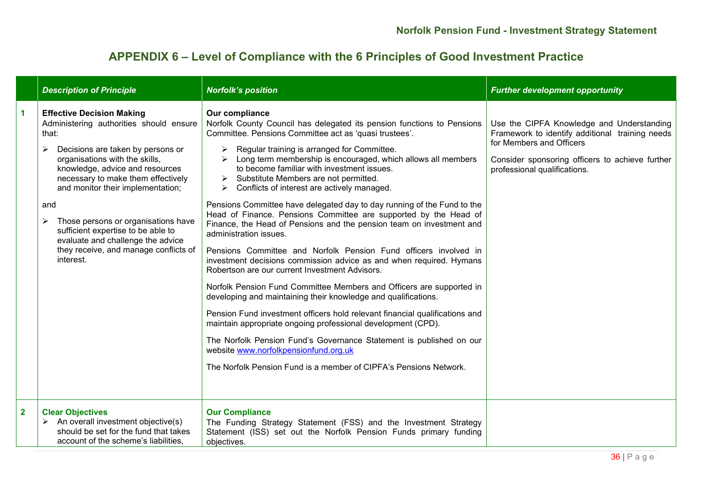# **APPENDIX 6 – Level of Compliance with the 6 Principles of Good Investment Practice**

|                         | <b>Description of Principle</b>                                                                                                                                                                                                                                                                                                                                                                                                                          | <b>Norfolk's position</b>                                                                                                                                                                                                                                                                                                                                                                                                                                                                                                                                                                                                                                                                                                                                                                                                                                                                                                                                                                                                                                                                                                                                                                                                                                                                                                                                 | <b>Further development opportunity</b>                                                                                                                                                                      |
|-------------------------|----------------------------------------------------------------------------------------------------------------------------------------------------------------------------------------------------------------------------------------------------------------------------------------------------------------------------------------------------------------------------------------------------------------------------------------------------------|-----------------------------------------------------------------------------------------------------------------------------------------------------------------------------------------------------------------------------------------------------------------------------------------------------------------------------------------------------------------------------------------------------------------------------------------------------------------------------------------------------------------------------------------------------------------------------------------------------------------------------------------------------------------------------------------------------------------------------------------------------------------------------------------------------------------------------------------------------------------------------------------------------------------------------------------------------------------------------------------------------------------------------------------------------------------------------------------------------------------------------------------------------------------------------------------------------------------------------------------------------------------------------------------------------------------------------------------------------------|-------------------------------------------------------------------------------------------------------------------------------------------------------------------------------------------------------------|
| 1                       | <b>Effective Decision Making</b><br>Administering authorities should ensure<br>that:<br>Decisions are taken by persons or<br>organisations with the skills,<br>knowledge, advice and resources<br>necessary to make them effectively<br>and monitor their implementation;<br>and<br>Those persons or organisations have<br>sufficient expertise to be able to<br>evaluate and challenge the advice<br>they receive, and manage conflicts of<br>interest. | Our compliance<br>Norfolk County Council has delegated its pension functions to Pensions<br>Committee. Pensions Committee act as 'quasi trustees'.<br>Regular training is arranged for Committee.<br>➤<br>Long term membership is encouraged, which allows all members<br>to become familiar with investment issues.<br>$\triangleright$ Substitute Members are not permitted.<br>Conflicts of interest are actively managed.<br>Pensions Committee have delegated day to day running of the Fund to the<br>Head of Finance. Pensions Committee are supported by the Head of<br>Finance, the Head of Pensions and the pension team on investment and<br>administration issues.<br>Pensions Committee and Norfolk Pension Fund officers involved in<br>investment decisions commission advice as and when required. Hymans<br>Robertson are our current Investment Advisors.<br>Norfolk Pension Fund Committee Members and Officers are supported in<br>developing and maintaining their knowledge and qualifications.<br>Pension Fund investment officers hold relevant financial qualifications and<br>maintain appropriate ongoing professional development (CPD).<br>The Norfolk Pension Fund's Governance Statement is published on our<br>website www.norfolkpensionfund.org.uk<br>The Norfolk Pension Fund is a member of CIPFA's Pensions Network. | Use the CIPFA Knowledge and Understanding<br>Framework to identify additional training needs<br>for Members and Officers<br>Consider sponsoring officers to achieve further<br>professional qualifications. |
| $\overline{\mathbf{2}}$ | <b>Clear Objectives</b><br>$\triangleright$ An overall investment objective(s)<br>should be set for the fund that takes<br>account of the scheme's liabilities,                                                                                                                                                                                                                                                                                          | <b>Our Compliance</b><br>The Funding Strategy Statement (FSS) and the Investment Strategy<br>Statement (ISS) set out the Norfolk Pension Funds primary funding<br>objectives.                                                                                                                                                                                                                                                                                                                                                                                                                                                                                                                                                                                                                                                                                                                                                                                                                                                                                                                                                                                                                                                                                                                                                                             |                                                                                                                                                                                                             |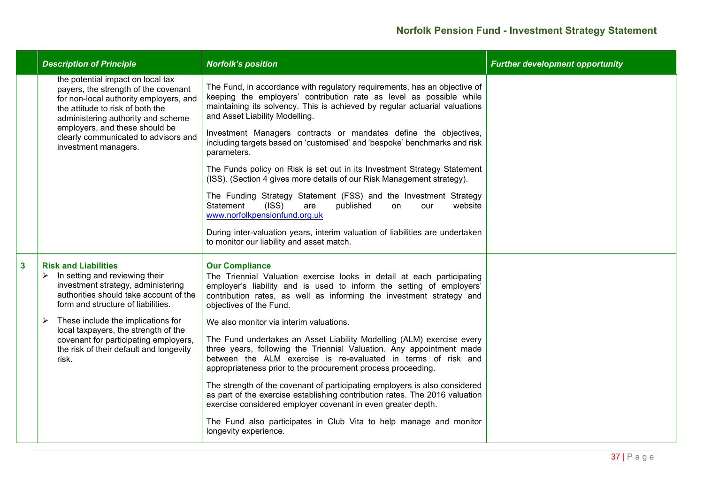|   | <b>Description of Principle</b>                                                                                                                                                                                                                                                                 | <b>Norfolk's position</b>                                                                                                                                                                                                                                                                                                                                                                                         | <b>Further development opportunity</b> |
|---|-------------------------------------------------------------------------------------------------------------------------------------------------------------------------------------------------------------------------------------------------------------------------------------------------|-------------------------------------------------------------------------------------------------------------------------------------------------------------------------------------------------------------------------------------------------------------------------------------------------------------------------------------------------------------------------------------------------------------------|----------------------------------------|
|   | the potential impact on local tax<br>payers, the strength of the covenant<br>for non-local authority employers, and<br>the attitude to risk of both the<br>administering authority and scheme<br>employers, and these should be<br>clearly communicated to advisors and<br>investment managers. | The Fund, in accordance with regulatory requirements, has an objective of<br>keeping the employers' contribution rate as level as possible while<br>maintaining its solvency. This is achieved by regular actuarial valuations<br>and Asset Liability Modelling.<br>Investment Managers contracts or mandates define the objectives,<br>including targets based on 'customised' and 'bespoke' benchmarks and risk |                                        |
|   |                                                                                                                                                                                                                                                                                                 | parameters.<br>The Funds policy on Risk is set out in its Investment Strategy Statement<br>(ISS). (Section 4 gives more details of our Risk Management strategy).                                                                                                                                                                                                                                                 |                                        |
|   |                                                                                                                                                                                                                                                                                                 | The Funding Strategy Statement (FSS) and the Investment Strategy<br>(ISS)<br>Statement<br>published<br>website<br>are<br>on<br>our<br>www.norfolkpensionfund.org.uk                                                                                                                                                                                                                                               |                                        |
|   |                                                                                                                                                                                                                                                                                                 | During inter-valuation years, interim valuation of liabilities are undertaken<br>to monitor our liability and asset match.                                                                                                                                                                                                                                                                                        |                                        |
| 3 | <b>Risk and Liabilities</b><br>In setting and reviewing their<br>➤<br>investment strategy, administering<br>authorities should take account of the<br>form and structure of liabilities.                                                                                                        | <b>Our Compliance</b><br>The Triennial Valuation exercise looks in detail at each participating<br>employer's liability and is used to inform the setting of employers'<br>contribution rates, as well as informing the investment strategy and<br>objectives of the Fund.                                                                                                                                        |                                        |
|   | These include the implications for<br>local taxpayers, the strength of the                                                                                                                                                                                                                      | We also monitor via interim valuations.                                                                                                                                                                                                                                                                                                                                                                           |                                        |
|   | covenant for participating employers,<br>the risk of their default and longevity<br>risk.                                                                                                                                                                                                       | The Fund undertakes an Asset Liability Modelling (ALM) exercise every<br>three years, following the Triennial Valuation. Any appointment made<br>between the ALM exercise is re-evaluated in terms of risk and<br>appropriateness prior to the procurement process proceeding.                                                                                                                                    |                                        |
|   |                                                                                                                                                                                                                                                                                                 | The strength of the covenant of participating employers is also considered<br>as part of the exercise establishing contribution rates. The 2016 valuation<br>exercise considered employer covenant in even greater depth.                                                                                                                                                                                         |                                        |
|   |                                                                                                                                                                                                                                                                                                 | The Fund also participates in Club Vita to help manage and monitor<br>longevity experience.                                                                                                                                                                                                                                                                                                                       |                                        |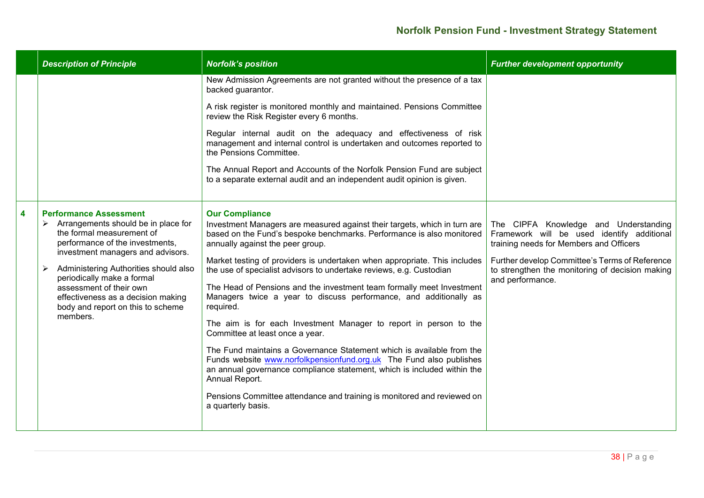|   | <b>Description of Principle</b>                                                                                                                                                                                                                                                                                                                                                          | <b>Norfolk's position</b>                                                                                                                                                                                                                                                                                                                                                                                                                                                                                                                                                                                                                                                                                                                                                                                                                                                                                                                                                            | <b>Further development opportunity</b>                                                                                                                                                                                                                  |
|---|------------------------------------------------------------------------------------------------------------------------------------------------------------------------------------------------------------------------------------------------------------------------------------------------------------------------------------------------------------------------------------------|--------------------------------------------------------------------------------------------------------------------------------------------------------------------------------------------------------------------------------------------------------------------------------------------------------------------------------------------------------------------------------------------------------------------------------------------------------------------------------------------------------------------------------------------------------------------------------------------------------------------------------------------------------------------------------------------------------------------------------------------------------------------------------------------------------------------------------------------------------------------------------------------------------------------------------------------------------------------------------------|---------------------------------------------------------------------------------------------------------------------------------------------------------------------------------------------------------------------------------------------------------|
|   |                                                                                                                                                                                                                                                                                                                                                                                          | New Admission Agreements are not granted without the presence of a tax<br>backed guarantor.                                                                                                                                                                                                                                                                                                                                                                                                                                                                                                                                                                                                                                                                                                                                                                                                                                                                                          |                                                                                                                                                                                                                                                         |
|   |                                                                                                                                                                                                                                                                                                                                                                                          | A risk register is monitored monthly and maintained. Pensions Committee<br>review the Risk Register every 6 months.                                                                                                                                                                                                                                                                                                                                                                                                                                                                                                                                                                                                                                                                                                                                                                                                                                                                  |                                                                                                                                                                                                                                                         |
|   |                                                                                                                                                                                                                                                                                                                                                                                          | Regular internal audit on the adequacy and effectiveness of risk<br>management and internal control is undertaken and outcomes reported to<br>the Pensions Committee.                                                                                                                                                                                                                                                                                                                                                                                                                                                                                                                                                                                                                                                                                                                                                                                                                |                                                                                                                                                                                                                                                         |
|   |                                                                                                                                                                                                                                                                                                                                                                                          | The Annual Report and Accounts of the Norfolk Pension Fund are subject<br>to a separate external audit and an independent audit opinion is given.                                                                                                                                                                                                                                                                                                                                                                                                                                                                                                                                                                                                                                                                                                                                                                                                                                    |                                                                                                                                                                                                                                                         |
| 4 | <b>Performance Assessment</b><br>$\triangleright$ Arrangements should be in place for<br>the formal measurement of<br>performance of the investments,<br>investment managers and advisors.<br>Administering Authorities should also<br>➤<br>periodically make a formal<br>assessment of their own<br>effectiveness as a decision making<br>body and report on this to scheme<br>members. | <b>Our Compliance</b><br>Investment Managers are measured against their targets, which in turn are<br>based on the Fund's bespoke benchmarks. Performance is also monitored<br>annually against the peer group.<br>Market testing of providers is undertaken when appropriate. This includes<br>the use of specialist advisors to undertake reviews, e.g. Custodian<br>The Head of Pensions and the investment team formally meet Investment<br>Managers twice a year to discuss performance, and additionally as<br>required.<br>The aim is for each Investment Manager to report in person to the<br>Committee at least once a year.<br>The Fund maintains a Governance Statement which is available from the<br>Funds website www.norfolkpensionfund.org.uk The Fund also publishes<br>an annual governance compliance statement, which is included within the<br>Annual Report.<br>Pensions Committee attendance and training is monitored and reviewed on<br>a quarterly basis. | The CIPFA Knowledge and Understanding<br>Framework will be used identify additional<br>training needs for Members and Officers<br>Further develop Committee's Terms of Reference<br>to strengthen the monitoring of decision making<br>and performance. |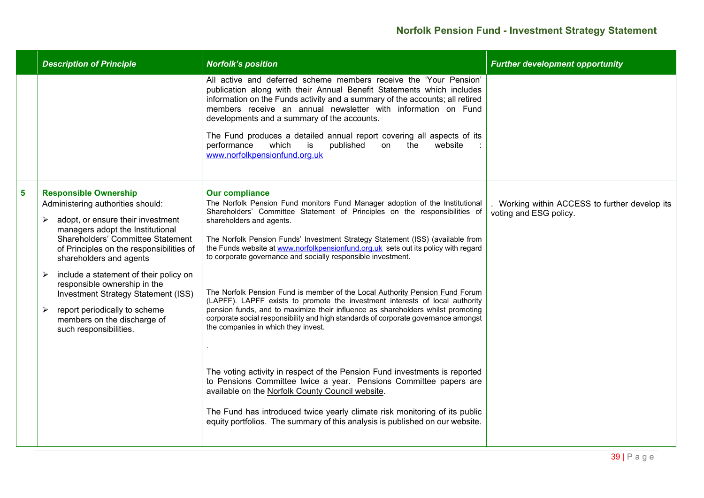|   | <b>Description of Principle</b>                                                                                                                                                                                                                                                                                                                                                                                                                                             | <b>Norfolk's position</b>                                                                                                                                                                                                                                                                                                                                                                                                                                                                                                                                                                                                                                                                                                                                                                                                                                                                                             | <b>Further development opportunity</b>                                 |
|---|-----------------------------------------------------------------------------------------------------------------------------------------------------------------------------------------------------------------------------------------------------------------------------------------------------------------------------------------------------------------------------------------------------------------------------------------------------------------------------|-----------------------------------------------------------------------------------------------------------------------------------------------------------------------------------------------------------------------------------------------------------------------------------------------------------------------------------------------------------------------------------------------------------------------------------------------------------------------------------------------------------------------------------------------------------------------------------------------------------------------------------------------------------------------------------------------------------------------------------------------------------------------------------------------------------------------------------------------------------------------------------------------------------------------|------------------------------------------------------------------------|
|   |                                                                                                                                                                                                                                                                                                                                                                                                                                                                             | All active and deferred scheme members receive the 'Your Pension'<br>publication along with their Annual Benefit Statements which includes<br>information on the Funds activity and a summary of the accounts; all retired<br>members receive an annual newsletter with information on Fund<br>developments and a summary of the accounts.<br>The Fund produces a detailed annual report covering all aspects of its<br>which<br>published<br>performance<br>is<br>on the<br>website<br>www.norfolkpensionfund.org.uk                                                                                                                                                                                                                                                                                                                                                                                                 |                                                                        |
| 5 | <b>Responsible Ownership</b><br>Administering authorities should:<br>adopt, or ensure their investment<br>➤<br>managers adopt the Institutional<br>Shareholders' Committee Statement<br>of Principles on the responsibilities of<br>shareholders and agents<br>include a statement of their policy on<br>responsible ownership in the<br>Investment Strategy Statement (ISS)<br>report periodically to scheme<br>➤<br>members on the discharge of<br>such responsibilities. | <b>Our compliance</b><br>The Norfolk Pension Fund monitors Fund Manager adoption of the Institutional<br>Shareholders' Committee Statement of Principles on the responsibilities of<br>shareholders and agents.<br>The Norfolk Pension Funds' Investment Strategy Statement (ISS) (available from<br>the Funds website at www.norfolkpensionfund.org.uk sets out its policy with regard<br>to corporate governance and socially responsible investment.<br>The Norfolk Pension Fund is member of the Local Authority Pension Fund Forum<br>(LAPFF). LAPFF exists to promote the investment interests of local authority<br>pension funds, and to maximize their influence as shareholders whilst promoting<br>corporate social responsibility and high standards of corporate governance amongst<br>the companies in which they invest.<br>The voting activity in respect of the Pension Fund investments is reported | Working within ACCESS to further develop its<br>voting and ESG policy. |
|   |                                                                                                                                                                                                                                                                                                                                                                                                                                                                             | to Pensions Committee twice a year. Pensions Committee papers are<br>available on the Norfolk County Council website.<br>The Fund has introduced twice yearly climate risk monitoring of its public<br>equity portfolios. The summary of this analysis is published on our website.                                                                                                                                                                                                                                                                                                                                                                                                                                                                                                                                                                                                                                   |                                                                        |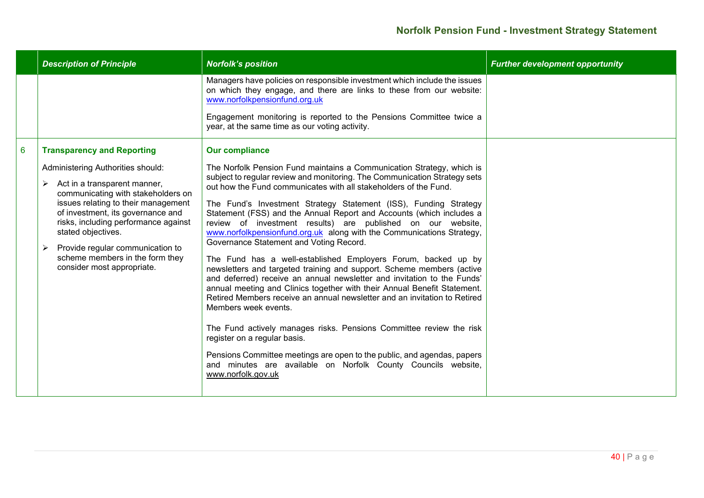|   | <b>Description of Principle</b>                                                                                                                                                                                                                                                                                                                                                                       | <b>Norfolk's position</b>                                                                                                                                                                                                                                                                                                                                                                                                                                                                                                                                                                                                                                                                                                                                                                                                                                                                                                                                                                                                                                                                                                                                                                                                                                     | <b>Further development opportunity</b> |
|---|-------------------------------------------------------------------------------------------------------------------------------------------------------------------------------------------------------------------------------------------------------------------------------------------------------------------------------------------------------------------------------------------------------|---------------------------------------------------------------------------------------------------------------------------------------------------------------------------------------------------------------------------------------------------------------------------------------------------------------------------------------------------------------------------------------------------------------------------------------------------------------------------------------------------------------------------------------------------------------------------------------------------------------------------------------------------------------------------------------------------------------------------------------------------------------------------------------------------------------------------------------------------------------------------------------------------------------------------------------------------------------------------------------------------------------------------------------------------------------------------------------------------------------------------------------------------------------------------------------------------------------------------------------------------------------|----------------------------------------|
|   |                                                                                                                                                                                                                                                                                                                                                                                                       | Managers have policies on responsible investment which include the issues<br>on which they engage, and there are links to these from our website:<br>www.norfolkpensionfund.org.uk<br>Engagement monitoring is reported to the Pensions Committee twice a<br>year, at the same time as our voting activity.                                                                                                                                                                                                                                                                                                                                                                                                                                                                                                                                                                                                                                                                                                                                                                                                                                                                                                                                                   |                                        |
| 6 | <b>Transparency and Reporting</b><br>Administering Authorities should:<br>Act in a transparent manner,<br>≻<br>communicating with stakeholders on<br>issues relating to their management<br>of investment, its governance and<br>risks, including performance against<br>stated objectives.<br>Provide regular communication to<br>➤<br>scheme members in the form they<br>consider most appropriate. | <b>Our compliance</b><br>The Norfolk Pension Fund maintains a Communication Strategy, which is<br>subject to regular review and monitoring. The Communication Strategy sets<br>out how the Fund communicates with all stakeholders of the Fund.<br>The Fund's Investment Strategy Statement (ISS), Funding Strategy<br>Statement (FSS) and the Annual Report and Accounts (which includes a<br>review of investment results) are published on our website,<br>www.norfolkpensionfund.org.uk along with the Communications Strategy,<br>Governance Statement and Voting Record.<br>The Fund has a well-established Employers Forum, backed up by<br>newsletters and targeted training and support. Scheme members (active<br>and deferred) receive an annual newsletter and invitation to the Funds'<br>annual meeting and Clinics together with their Annual Benefit Statement.<br>Retired Members receive an annual newsletter and an invitation to Retired<br>Members week events.<br>The Fund actively manages risks. Pensions Committee review the risk<br>register on a regular basis.<br>Pensions Committee meetings are open to the public, and agendas, papers<br>and minutes are available on Norfolk County Councils website,<br>www.norfolk.gov.uk |                                        |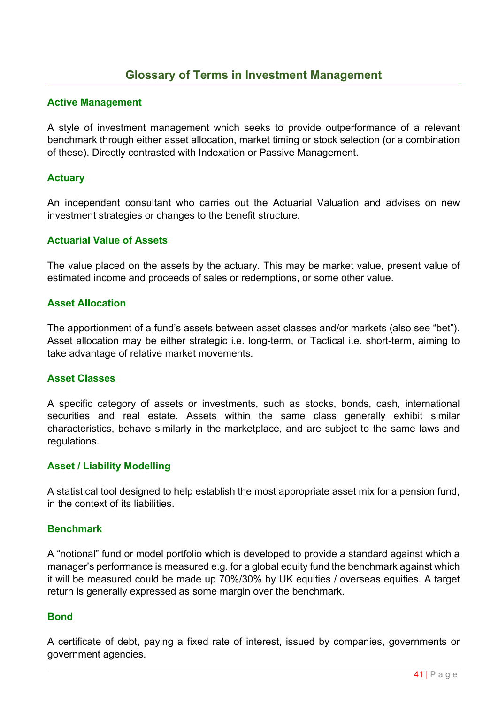# **Glossary of Terms in Investment Management**

### **Active Management**

A style of investment management which seeks to provide outperformance of a relevant benchmark through either asset allocation, market timing or stock selection (or a combination of these). Directly contrasted with Indexation or Passive Management.

### **Actuary**

An independent consultant who carries out the Actuarial Valuation and advises on new investment strategies or changes to the benefit structure.

#### **Actuarial Value of Assets**

The value placed on the assets by the actuary. This may be market value, present value of estimated income and proceeds of sales or redemptions, or some other value.

### **Asset Allocation**

The apportionment of a fund's assets between asset classes and/or markets (also see "bet"). Asset allocation may be either strategic i.e. long-term, or Tactical i.e. short-term, aiming to take advantage of relative market movements.

#### **Asset Classes**

A specific category of assets or investments, such as stocks, bonds, cash, international securities and real estate. Assets within the same class generally exhibit similar characteristics, behave similarly in the marketplace, and are subject to the same laws and regulations.

#### **Asset / Liability Modelling**

A statistical tool designed to help establish the most appropriate asset mix for a pension fund, in the context of its liabilities.

### **Benchmark**

A "notional" fund or model portfolio which is developed to provide a standard against which a manager's performance is measured e.g. for a global equity fund the benchmark against which it will be measured could be made up 70%/30% by UK equities / overseas equities. A target return is generally expressed as some margin over the benchmark.

### **Bond**

A certificate of debt, paying a fixed rate of interest, issued by companies, governments or government agencies.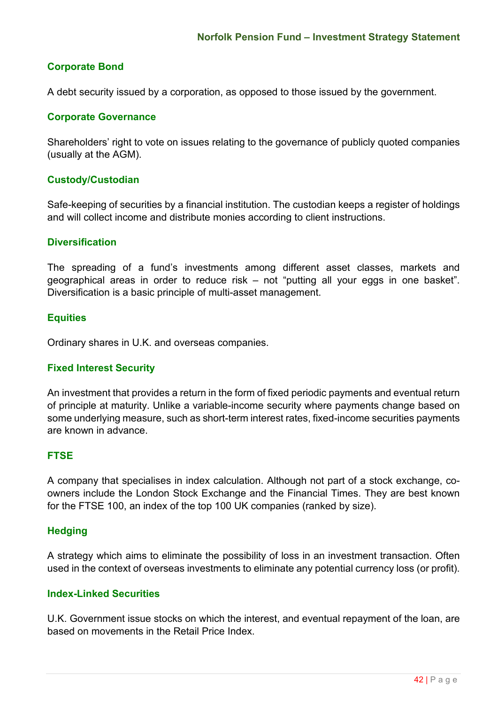# **Corporate Bond**

A debt security issued by a corporation, as opposed to those issued by the government.

### **Corporate Governance**

Shareholders' right to vote on issues relating to the governance of publicly quoted companies (usually at the AGM).

### **Custody/Custodian**

Safe-keeping of securities by a financial institution. The custodian keeps a register of holdings and will collect income and distribute monies according to client instructions.

### **Diversification**

The spreading of a fund's investments among different asset classes, markets and geographical areas in order to reduce risk – not "putting all your eggs in one basket". Diversification is a basic principle of multi-asset management.

### **Equities**

Ordinary shares in U.K. and overseas companies.

#### **Fixed Interest Security**

An investment that provides a return in the form of fixed periodic payments and eventual return of principle at maturity. Unlike a variable-income security where payments change based on some underlying measure, such as short-term interest rates, fixed-income securities payments are known in advance.

### **FTSE**

A company that specialises in index calculation. Although not part of a stock exchange, coowners include the London Stock Exchange and the Financial Times. They are best known for the FTSE 100, an index of the top 100 UK companies (ranked by size).

### **Hedging**

A strategy which aims to eliminate the possibility of loss in an investment transaction. Often used in the context of overseas investments to eliminate any potential currency loss (or profit).

### **Index-Linked Securities**

U.K. Government issue stocks on which the interest, and eventual repayment of the loan, are based on movements in the Retail Price Index.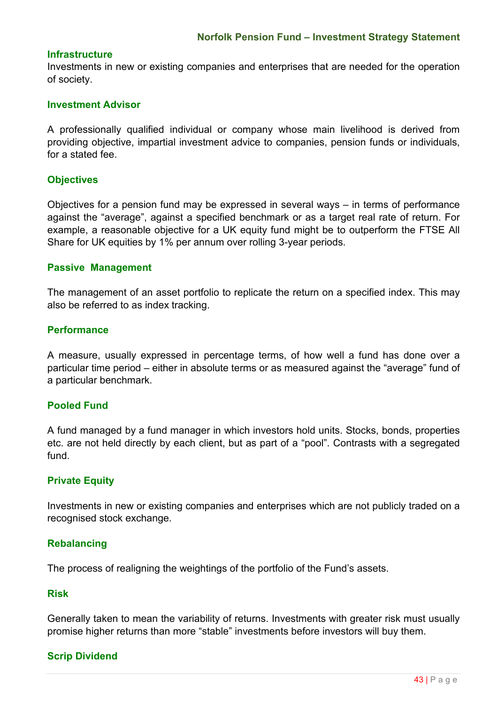### **Infrastructure**

Investments in new or existing companies and enterprises that are needed for the operation of society.

### **Investment Advisor**

A professionally qualified individual or company whose main livelihood is derived from providing objective, impartial investment advice to companies, pension funds or individuals, for a stated fee.

### **Objectives**

Objectives for a pension fund may be expressed in several ways – in terms of performance against the "average", against a specified benchmark or as a target real rate of return. For example, a reasonable objective for a UK equity fund might be to outperform the FTSE All Share for UK equities by 1% per annum over rolling 3-year periods.

### **Passive Management**

The management of an asset portfolio to replicate the return on a specified index. This may also be referred to as index tracking.

### **Performance**

A measure, usually expressed in percentage terms, of how well a fund has done over a particular time period – either in absolute terms or as measured against the "average" fund of a particular benchmark.

### **Pooled Fund**

A fund managed by a fund manager in which investors hold units. Stocks, bonds, properties etc. are not held directly by each client, but as part of a "pool". Contrasts with a segregated fund.

### **Private Equity**

Investments in new or existing companies and enterprises which are not publicly traded on a recognised stock exchange.

#### **Rebalancing**

The process of realigning the weightings of the portfolio of the Fund's assets.

#### **Risk**

Generally taken to mean the variability of returns. Investments with greater risk must usually promise higher returns than more "stable" investments before investors will buy them.

### **Scrip Dividend**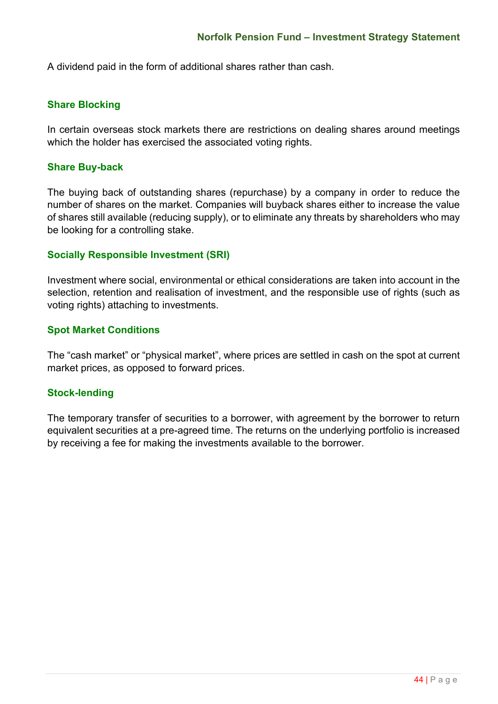A dividend paid in the form of additional shares rather than cash.

### **Share Blocking**

In certain overseas stock markets there are restrictions on dealing shares around meetings which the holder has exercised the associated voting rights.

### **Share Buy-back**

The buying back of outstanding shares (repurchase) by a company in order to reduce the number of shares on the market. Companies will buyback shares either to increase the value of shares still available (reducing supply), or to eliminate any threats by shareholders who may be looking for a controlling stake.

### **Socially Responsible Investment (SRI)**

Investment where social, environmental or ethical considerations are taken into account in the selection, retention and realisation of investment, and the responsible use of rights (such as voting rights) attaching to investments.

### **Spot Market Conditions**

The "cash market" or "physical market", where prices are settled in cash on the spot at current market prices, as opposed to forward prices.

### **Stock-lending**

The temporary transfer of securities to a borrower, with agreement by the borrower to return equivalent securities at a pre-agreed time. The returns on the underlying portfolio is increased by receiving a fee for making the investments available to the borrower.